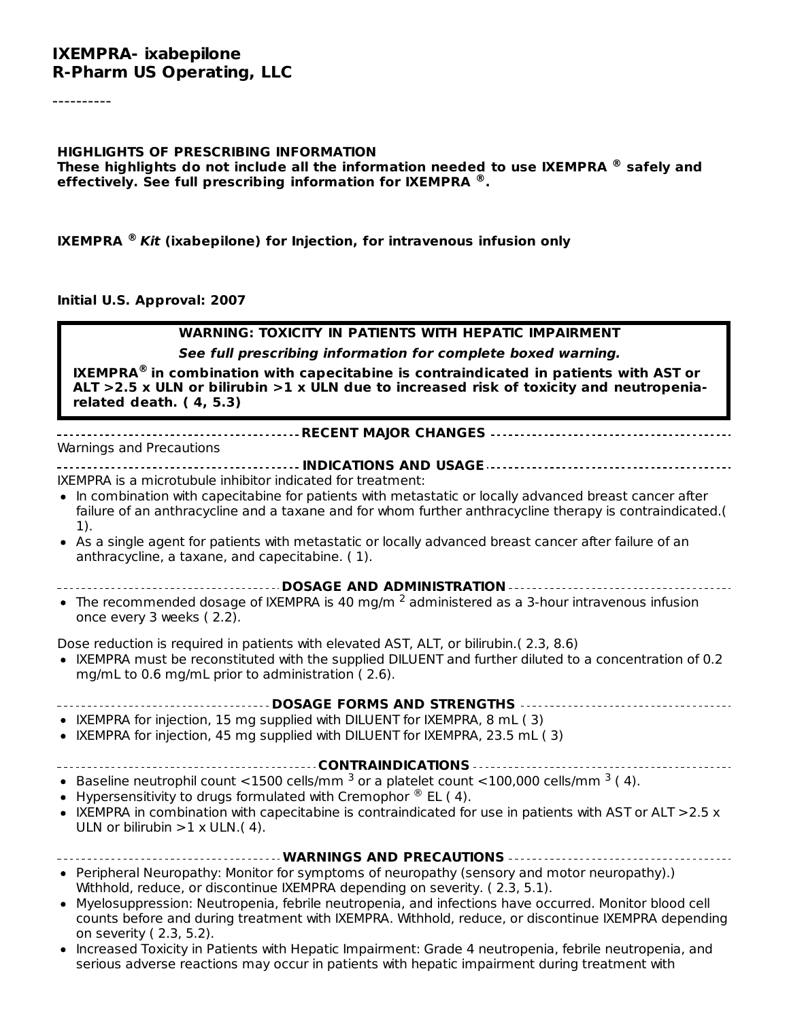----------

#### **HIGHLIGHTS OF PRESCRIBING INFORMATION These highlights do not include all the information needed to use IXEMPRA safely and ® effectively. See full prescribing information for IXEMPRA . ®**

**IXEMPRA** ® Kit (ixabepilone) for Injection, for intravenous infusion only

#### **Initial U.S. Approval: 2007**

#### **WARNING: TOXICITY IN PATIENTS WITH HEPATIC IMPAIRMENT See full prescribing information for complete boxed warning.**

**IXEMPRA in combination with capecitabine is contraindicated in patients with AST or ® ALT >2.5 x ULN or bilirubin >1 x ULN due to increased risk of toxicity and neutropeniarelated death. ( 4, 5.3)**

#### **RECENT MAJOR CHANGES**

Warnings and Precautions

**INDICATIONS AND USAGE** IXEMPRA is a microtubule inhibitor indicated for treatment:

- In combination with capecitabine for patients with metastatic or locally advanced breast cancer after failure of an anthracycline and a taxane and for whom further anthracycline therapy is contraindicated.( 1).
- As a single agent for patients with metastatic or locally advanced breast cancer after failure of an anthracycline, a taxane, and capecitabine. ( 1).
- **DOSAGE AND ADMINISTRATION**
- The recommended dosage of IXEMPRA is 40 mg/m  $^2$  administered as a 3-hour intravenous infusion once every 3 weeks ( 2.2).

Dose reduction is required in patients with elevated AST, ALT, or bilirubin.( 2.3, 8.6)

IXEMPRA must be reconstituted with the supplied DILUENT and further diluted to a concentration of 0.2 mg/mL to 0.6 mg/mL prior to administration ( 2.6).

#### **DOSAGE FORMS AND STRENGTHS**

- IXEMPRA for injection, 15 mg supplied with DILUENT for IXEMPRA, 8 mL (3)
- IXEMPRA for injection, 45 mg supplied with DILUENT for IXEMPRA, 23.5 mL ( 3)

#### **CONTRAINDICATIONS**

- Baseline neutrophil count <1500 cells/mm  $^3$  or a platelet count <100,000 cells/mm  $^3$  (4).
- Hypersensitivity to drugs formulated with Cremophor  $^{\circledR}$  EL (4).
- IXEMPRA in combination with capecitabine is contraindicated for use in patients with AST or ALT  $>2.5 x$ ULN or bilirubin  $>1 \times$  ULN.(4).
- **WARNINGS AND PRECAUTIONS** • Peripheral Neuropathy: Monitor for symptoms of neuropathy (sensory and motor neuropathy).) Withhold, reduce, or discontinue IXEMPRA depending on severity. ( 2.3, 5.1).
- Myelosuppression: Neutropenia, febrile neutropenia, and infections have occurred. Monitor blood cell counts before and during treatment with IXEMPRA. Withhold, reduce, or discontinue IXEMPRA depending on severity ( 2.3, 5.2).
- Increased Toxicity in Patients with Hepatic Impairment: Grade 4 neutropenia, febrile neutropenia, and serious adverse reactions may occur in patients with hepatic impairment during treatment with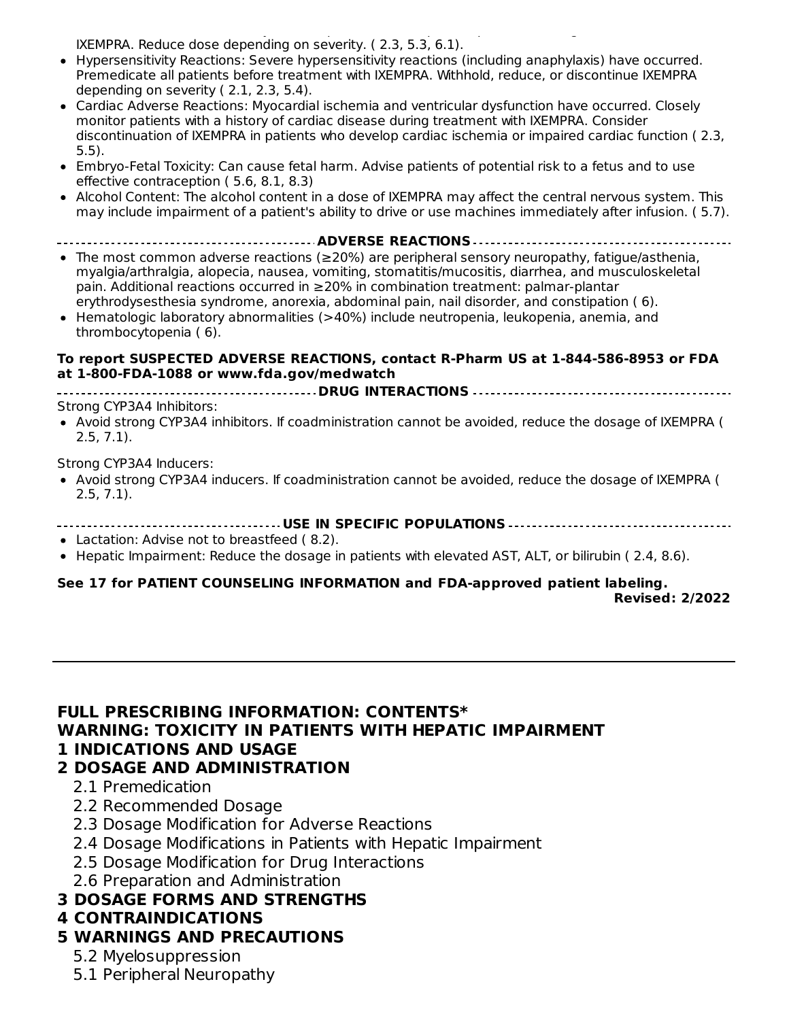serious adverse reactions may occur in patients with hepatic impairment during treatment with IXEMPRA. Reduce dose depending on severity. ( 2.3, 5.3, 6.1).

- Hypersensitivity Reactions: Severe hypersensitivity reactions (including anaphylaxis) have occurred. Premedicate all patients before treatment with IXEMPRA. Withhold, reduce, or discontinue IXEMPRA depending on severity ( 2.1, 2.3, 5.4).
- Cardiac Adverse Reactions: Myocardial ischemia and ventricular dysfunction have occurred. Closely monitor patients with a history of cardiac disease during treatment with IXEMPRA. Consider discontinuation of IXEMPRA in patients who develop cardiac ischemia or impaired cardiac function ( 2.3, 5.5).
- Embryo-Fetal Toxicity: Can cause fetal harm. Advise patients of potential risk to a fetus and to use effective contraception ( 5.6, 8.1, 8.3)
- Alcohol Content: The alcohol content in a dose of IXEMPRA may affect the central nervous system. This may include impairment of a patient's ability to drive or use machines immediately after infusion. ( 5.7).

**ADVERSE REACTIONS**

- The most common adverse reactions (≥20%) are peripheral sensory neuropathy, fatigue/asthenia, myalgia/arthralgia, alopecia, nausea, vomiting, stomatitis/mucositis, diarrhea, and musculoskeletal pain. Additional reactions occurred in ≥20% in combination treatment: palmar-plantar erythrodysesthesia syndrome, anorexia, abdominal pain, nail disorder, and constipation ( 6).
- Hematologic laboratory abnormalities (>40%) include neutropenia, leukopenia, anemia, and thrombocytopenia ( 6).

#### **To report SUSPECTED ADVERSE REACTIONS, contact R-Pharm US at 1-844-586-8953 or FDA at 1-800-FDA-1088 or www.fda.gov/medwatch**

**DRUG INTERACTIONS**

Strong CYP3A4 Inhibitors:

Avoid strong CYP3A4 inhibitors. If coadministration cannot be avoided, reduce the dosage of IXEMPRA ( 2.5, 7.1).

Strong CYP3A4 Inducers:

- Avoid strong CYP3A4 inducers. If coadministration cannot be avoided, reduce the dosage of IXEMPRA ( 2.5, 7.1).
- **USE IN SPECIFIC POPULATIONS**
- Lactation: Advise not to breastfeed ( 8.2).
- Hepatic Impairment: Reduce the dosage in patients with elevated AST, ALT, or bilirubin (2.4, 8.6).

#### **See 17 for PATIENT COUNSELING INFORMATION and FDA-approved patient labeling.**

**Revised: 2/2022**

#### **FULL PRESCRIBING INFORMATION: CONTENTS\* WARNING: TOXICITY IN PATIENTS WITH HEPATIC IMPAIRMENT 1 INDICATIONS AND USAGE**

#### **2 DOSAGE AND ADMINISTRATION**

- 2.1 Premedication
- 2.2 Recommended Dosage
- 2.3 Dosage Modification for Adverse Reactions
- 2.4 Dosage Modifications in Patients with Hepatic Impairment
- 2.5 Dosage Modification for Drug Interactions
- 2.6 Preparation and Administration

# **3 DOSAGE FORMS AND STRENGTHS**

# **4 CONTRAINDICATIONS**

# **5 WARNINGS AND PRECAUTIONS**

- 5.2 Myelosuppression
- 5.1 Peripheral Neuropathy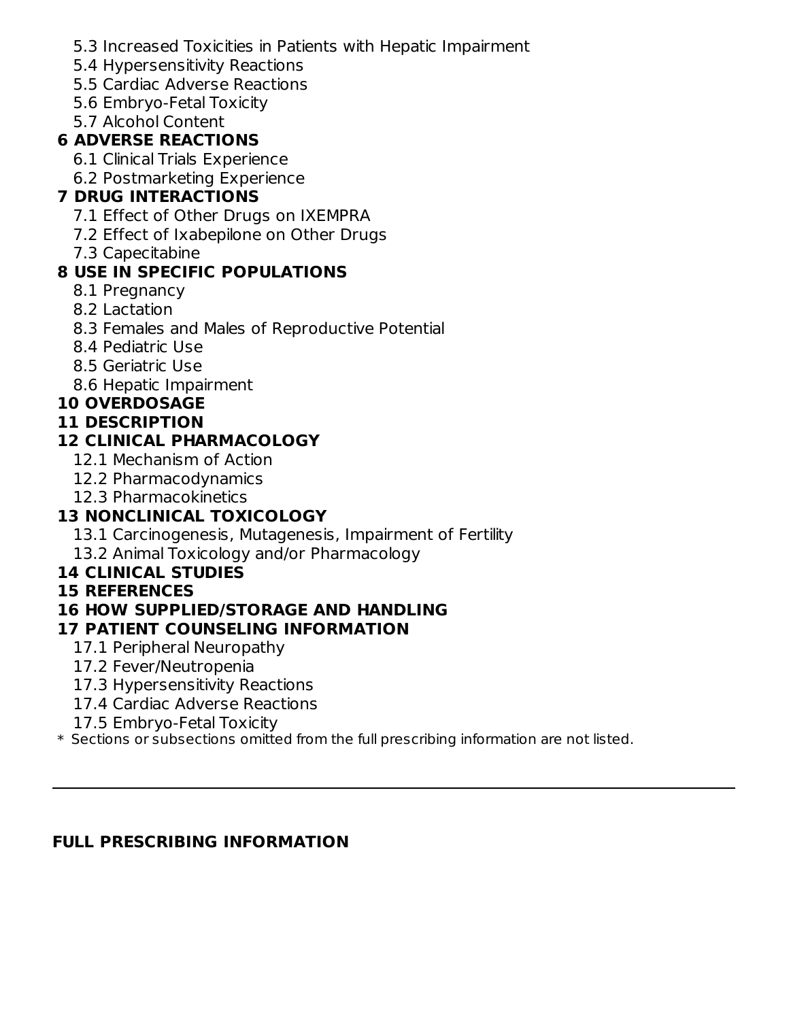- 5.3 Increased Toxicities in Patients with Hepatic Impairment
- 5.4 Hypersensitivity Reactions
- 5.5 Cardiac Adverse Reactions
- 5.6 Embryo-Fetal Toxicity
- 5.7 Alcohol Content

# **6 ADVERSE REACTIONS**

- 6.1 Clinical Trials Experience
- 6.2 Postmarketing Experience

# **7 DRUG INTERACTIONS**

- 7.1 Effect of Other Drugs on IXEMPRA
- 7.2 Effect of Ixabepilone on Other Drugs
- 7.3 Capecitabine

# **8 USE IN SPECIFIC POPULATIONS**

- 8.1 Pregnancy
- 8.2 Lactation
- 8.3 Females and Males of Reproductive Potential
- 8.4 Pediatric Use
- 8.5 Geriatric Use
- 8.6 Hepatic Impairment

# **10 OVERDOSAGE**

# **11 DESCRIPTION**

# **12 CLINICAL PHARMACOLOGY**

- 12.1 Mechanism of Action
- 12.2 Pharmacodynamics
- 12.3 Pharmacokinetics

# **13 NONCLINICAL TOXICOLOGY**

- 13.1 Carcinogenesis, Mutagenesis, Impairment of Fertility
- 13.2 Animal Toxicology and/or Pharmacology

# **14 CLINICAL STUDIES**

# **15 REFERENCES**

# **16 HOW SUPPLIED/STORAGE AND HANDLING**

# **17 PATIENT COUNSELING INFORMATION**

- 17.1 Peripheral Neuropathy
- 17.2 Fever/Neutropenia
- 17.3 Hypersensitivity Reactions
- 17.4 Cardiac Adverse Reactions
- 17.5 Embryo-Fetal Toxicity
- $\ast$  Sections or subsections omitted from the full prescribing information are not listed.

# **FULL PRESCRIBING INFORMATION**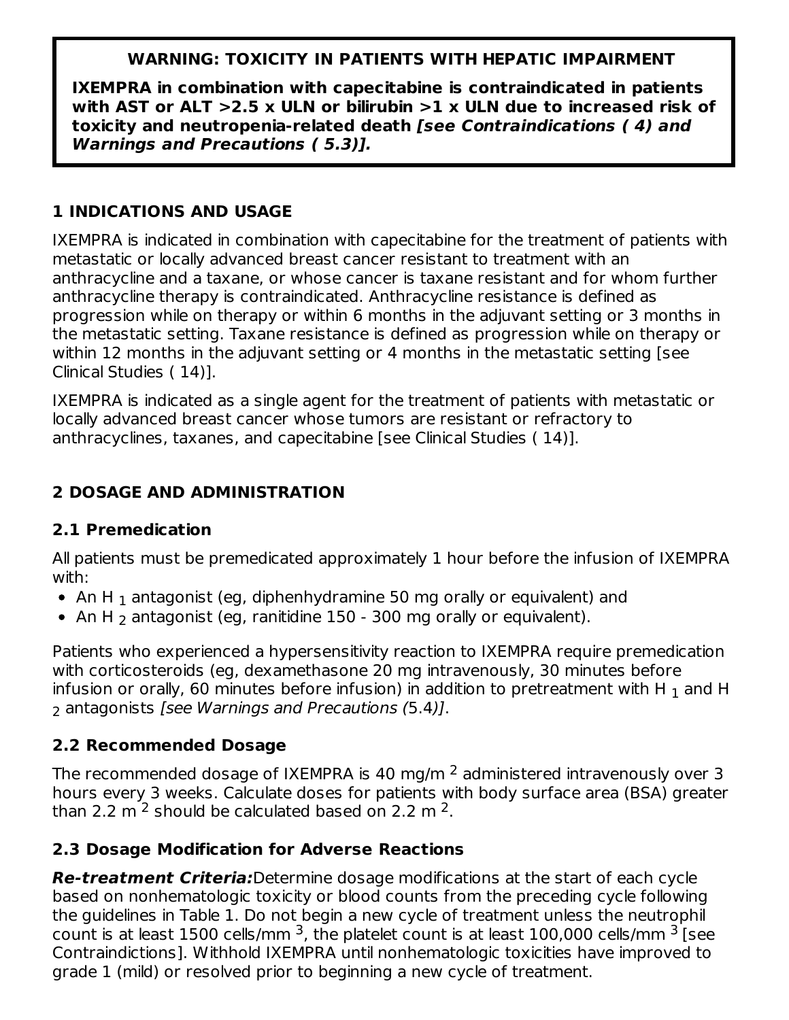# **WARNING: TOXICITY IN PATIENTS WITH HEPATIC IMPAIRMENT**

**IXEMPRA in combination with capecitabine is contraindicated in patients with AST or ALT >2.5 x ULN or bilirubin >1 x ULN due to increased risk of toxicity and neutropenia-related death [see Contraindications ( 4) and Warnings and Precautions ( 5.3)].**

# **1 INDICATIONS AND USAGE**

IXEMPRA is indicated in combination with capecitabine for the treatment of patients with metastatic or locally advanced breast cancer resistant to treatment with an anthracycline and a taxane, or whose cancer is taxane resistant and for whom further anthracycline therapy is contraindicated. Anthracycline resistance is defined as progression while on therapy or within 6 months in the adjuvant setting or 3 months in the metastatic setting. Taxane resistance is defined as progression while on therapy or within 12 months in the adjuvant setting or 4 months in the metastatic setting [see Clinical Studies ( 14)].

IXEMPRA is indicated as a single agent for the treatment of patients with metastatic or locally advanced breast cancer whose tumors are resistant or refractory to anthracyclines, taxanes, and capecitabine [see Clinical Studies ( 14)].

# **2 DOSAGE AND ADMINISTRATION**

# **2.1 Premedication**

All patients must be premedicated approximately 1 hour before the infusion of IXEMPRA with:

- An H  $_{\rm 1}$  antagonist (eg, diphenhydramine 50 mg orally or equivalent) and
- An H  $_2$  antagonist (eg, ranitidine 150 300 mg orally or equivalent).

Patients who experienced a hypersensitivity reaction to IXEMPRA require premedication with corticosteroids (eg, dexamethasone 20 mg intravenously, 30 minutes before infusion or orally, 60 minutes before infusion) in addition to pretreatment with H  $_{\rm 1}$  and H  $_{\rm 2}$  antagonists *[see Warnings and Precautions (*5.4*)]*.

# **2.2 Recommended Dosage**

The recommended dosage of IXEMPRA is 40 mg/m  $^2$  administered intravenously over 3  $\,$ hours every 3 weeks. Calculate doses for patients with body surface area (BSA) greater than 2.2 m  $^2$  should be calculated based on 2.2 m  $^2$ .

# **2.3 Dosage Modification for Adverse Reactions**

**Re-treatment Criteria:**Determine dosage modifications at the start of each cycle based on nonhematologic toxicity or blood counts from the preceding cycle following the guidelines in Table 1. Do not begin a new cycle of treatment unless the neutrophil count is at least 1500 cells/mm <sup>3</sup>, the platelet count is at least 100,000 cells/mm  $^3$  [see Contraindictions]. Withhold IXEMPRA until nonhematologic toxicities have improved to grade 1 (mild) or resolved prior to beginning a new cycle of treatment.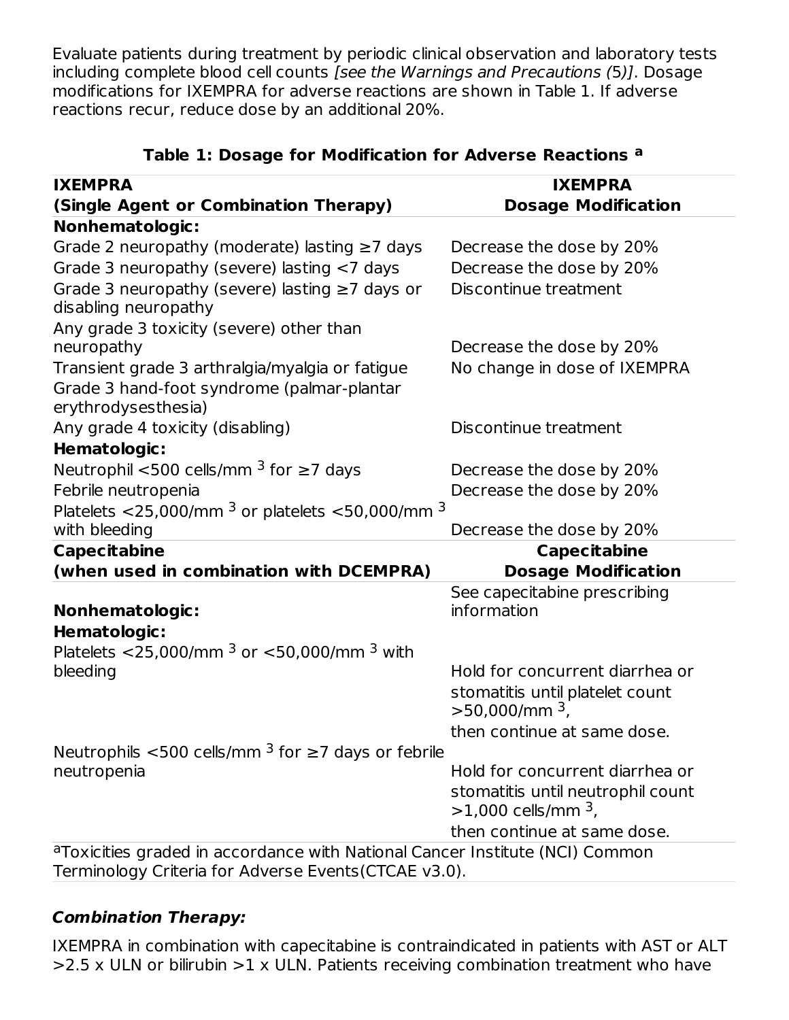Evaluate patients during treatment by periodic clinical observation and laboratory tests including complete blood cell counts [see the Warnings and Precautions (5)]. Dosage modifications for IXEMPRA for adverse reactions are shown in Table 1. If adverse reactions recur, reduce dose by an additional 20%.

| <b>IXEMPRA</b>                                                                                                                        | <b>IXEMPRA</b>                                                        |
|---------------------------------------------------------------------------------------------------------------------------------------|-----------------------------------------------------------------------|
| (Single Agent or Combination Therapy)                                                                                                 | <b>Dosage Modification</b>                                            |
| <b>Nonhematologic:</b>                                                                                                                |                                                                       |
| Grade 2 neuropathy (moderate) lasting $\geq$ 7 days                                                                                   | Decrease the dose by 20%                                              |
| Grade 3 neuropathy (severe) lasting <7 days                                                                                           | Decrease the dose by 20%                                              |
| Grade 3 neuropathy (severe) lasting $\geq$ 7 days or<br>disabling neuropathy                                                          | Discontinue treatment                                                 |
| Any grade 3 toxicity (severe) other than                                                                                              |                                                                       |
| neuropathy                                                                                                                            | Decrease the dose by 20%                                              |
| Transient grade 3 arthralgia/myalgia or fatigue<br>Grade 3 hand-foot syndrome (palmar-plantar<br>erythrodysesthesia)                  | No change in dose of IXEMPRA                                          |
| Any grade 4 toxicity (disabling)                                                                                                      | Discontinue treatment                                                 |
| <b>Hematologic:</b>                                                                                                                   |                                                                       |
| Neutrophil <500 cells/mm $^3$ for $\geq$ 7 days                                                                                       | Decrease the dose by 20%                                              |
| Febrile neutropenia                                                                                                                   | Decrease the dose by 20%                                              |
| Platelets <25,000/mm $^3$ or platelets <50,000/mm $^3$                                                                                |                                                                       |
| with bleeding                                                                                                                         | Decrease the dose by 20%                                              |
| <b>Capecitabine</b>                                                                                                                   | <b>Capecitabine</b>                                                   |
| (when used in combination with DCEMPRA)                                                                                               | <b>Dosage Modification</b>                                            |
|                                                                                                                                       | See capecitabine prescribing                                          |
| <b>Nonhematologic:</b>                                                                                                                | information                                                           |
| Hematologic:                                                                                                                          |                                                                       |
| Platelets <25,000/mm $^3$ or <50,000/mm $^3$ with                                                                                     |                                                                       |
| bleeding                                                                                                                              | Hold for concurrent diarrhea or                                       |
|                                                                                                                                       | stomatitis until platelet count<br>$>$ 50,000/mm $^3$ ,               |
|                                                                                                                                       | then continue at same dose.                                           |
| Neutrophils <500 cells/mm $3$ for $\geq$ 7 days or febrile                                                                            |                                                                       |
| neutropenia                                                                                                                           | Hold for concurrent diarrhea or                                       |
|                                                                                                                                       | stomatitis until neutrophil count<br>$>1,000$ cells/mm <sup>3</sup> , |
|                                                                                                                                       | then continue at same dose.                                           |
| a Toxicities graded in accordance with National Cancer Institute (NCI) Common<br>Terminology Criteria for Adverse Events(CTCAE v3.0). |                                                                       |

#### **Table 1: Dosage for Modification for Adverse Reactions a**

#### **Combination Therapy:**

IXEMPRA in combination with capecitabine is contraindicated in patients with AST or ALT  $>$  2.5 x ULN or bilirubin  $>$  1 x ULN. Patients receiving combination treatment who have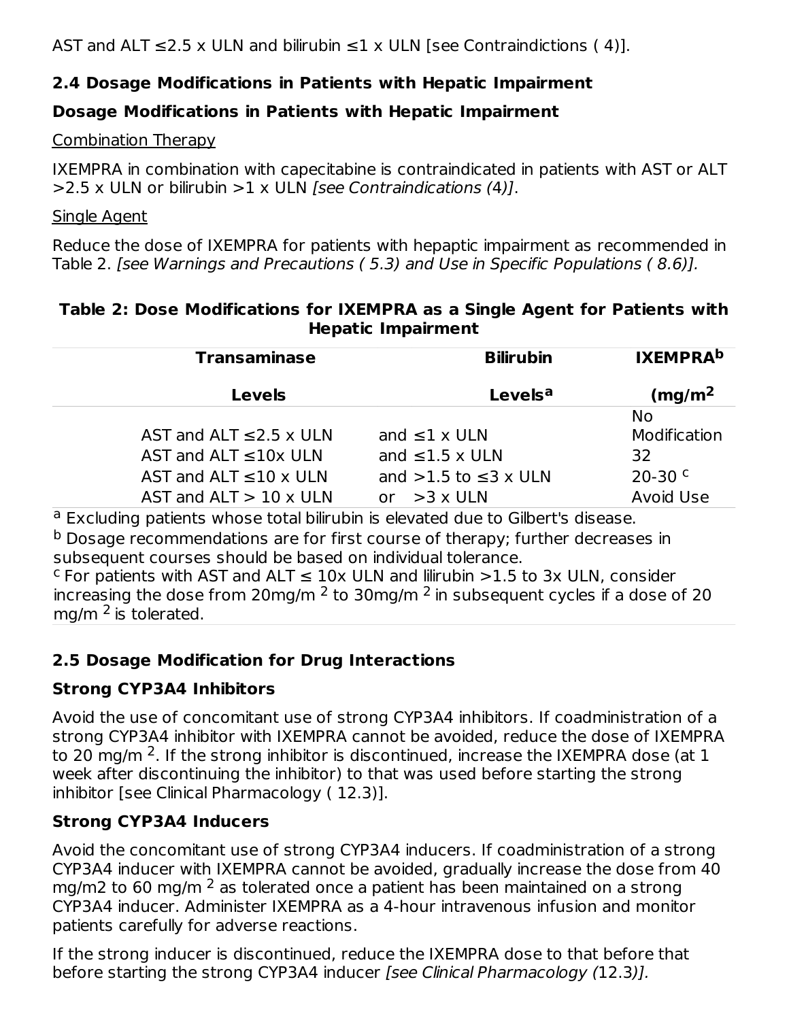AST and ALT  $\leq$  2.5 x ULN and bilirubin  $\leq$  1 x ULN [see Contraindictions (4)].

# **2.4 Dosage Modifications in Patients with Hepatic Impairment**

# **Dosage Modifications in Patients with Hepatic Impairment**

#### Combination Therapy

IXEMPRA in combination with capecitabine is contraindicated in patients with AST or ALT  $>$ 2.5 x ULN or bilirubin  $>$ 1 x ULN *[see Contraindications (4)]*.

#### Single Agent

Reduce the dose of IXEMPRA for patients with hepaptic impairment as recommended in Table 2. [see Warnings and Precautions ( 5.3) and Use in Specific Populations ( 8.6)].

#### **Table 2: Dose Modifications for IXEMPRA as a Single Agent for Patients with Hepatic Impairment**

| <b>Transaminase</b>              | <b>Bilirubin</b>             | <b>IXEMPRAD</b>    |
|----------------------------------|------------------------------|--------------------|
| <b>Levels</b>                    | Levels <sup>a</sup>          | (mg/m <sup>2</sup> |
|                                  |                              | <b>No</b>          |
| AST and ALT $\leq$ 2.5 x ULN     | and $\leq 1 \times$ ULN      | Modification       |
| AST and ALT $\leq 10x$ ULN       | and $\leq 1.5 \times$ ULN    | 32                 |
| AST and ALT $\leq 10 \times$ ULN | and $>1.5$ to $\leq$ 3 x ULN | $20-30$ c          |
| AST and $ALT > 10 \times ULN$    | or $>3 \times$ ULN           | Avoid Use          |

<sup>a</sup> Excluding patients whose total bilirubin is elevated due to Gilbert's disease.

<sup>b</sup> Dosage recommendations are for first course of therapy; further decreases in subsequent courses should be based on individual tolerance.

 $\text{c}$  For patients with AST and ALT  $\leq 10 \times$  ULN and lilirubin >1.5 to 3x ULN, consider increasing the dose from 20mg/m  $^2$  to 30mg/m  $^2$  in subsequent cycles if a dose of 20  $\,$ mg/m <sup>2</sup> is tolerated.

# **2.5 Dosage Modification for Drug Interactions**

# **Strong CYP3A4 Inhibitors**

Avoid the use of concomitant use of strong CYP3A4 inhibitors. If coadministration of a strong CYP3A4 inhibitor with IXEMPRA cannot be avoided, reduce the dose of IXEMPRA to 20 mg/m <sup>2</sup>. If the strong inhibitor is discontinued, increase the IXEMPRA dose (at  $1$ week after discontinuing the inhibitor) to that was used before starting the strong inhibitor [see Clinical Pharmacology ( 12.3)].

# **Strong CYP3A4 Inducers**

Avoid the concomitant use of strong CYP3A4 inducers. If coadministration of a strong CYP3A4 inducer with IXEMPRA cannot be avoided, gradually increase the dose from 40 mg/m2 to 60 mg/m  $^2$  as tolerated once a patient has been maintained on a strong CYP3A4 inducer. Administer IXEMPRA as a 4-hour intravenous infusion and monitor patients carefully for adverse reactions.

If the strong inducer is discontinued, reduce the IXEMPRA dose to that before that before starting the strong CYP3A4 inducer [see Clinical Pharmacology (12.3)].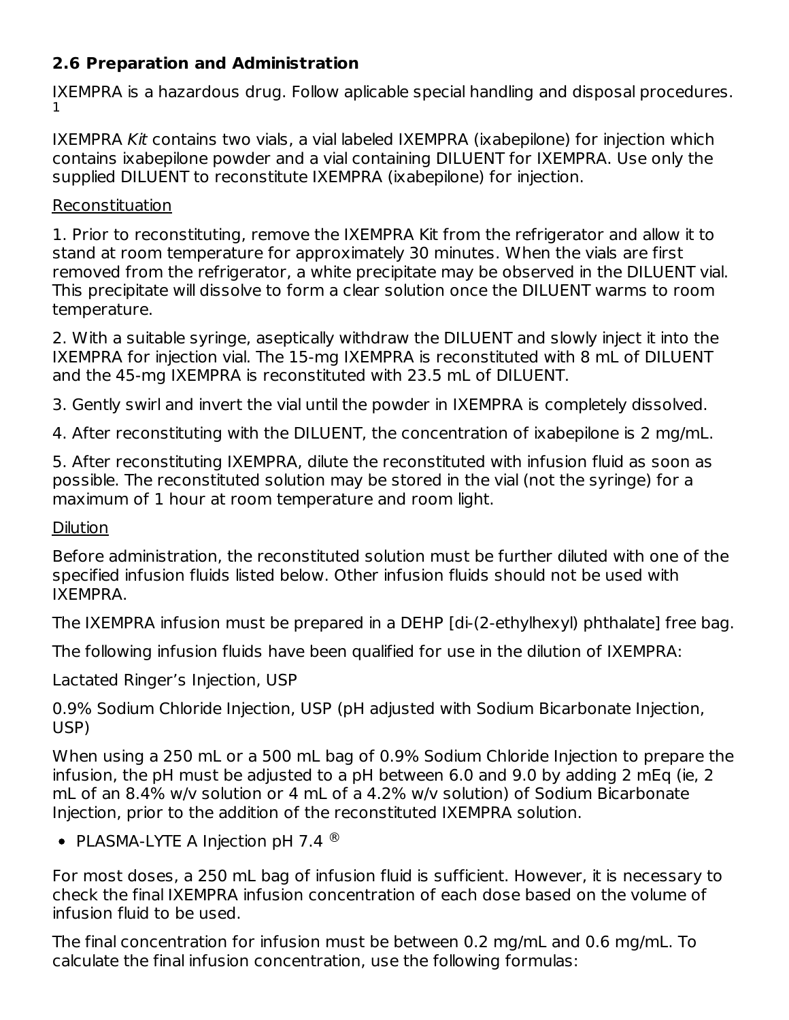# **2.6 Preparation and Administration**

IXEMPRA is a hazardous drug. Follow aplicable special handling and disposal procedures. 1

IXEMPRA Kit contains two vials, a vial labeled IXEMPRA (ixabepilone) for injection which contains ixabepilone powder and a vial containing DILUENT for IXEMPRA. Use only the supplied DILUENT to reconstitute IXEMPRA (ixabepilone) for injection.

#### Reconstituation

1. Prior to reconstituting, remove the IXEMPRA Kit from the refrigerator and allow it to stand at room temperature for approximately 30 minutes. When the vials are first removed from the refrigerator, a white precipitate may be observed in the DILUENT vial. This precipitate will dissolve to form a clear solution once the DILUENT warms to room temperature.

2. With a suitable syringe, aseptically withdraw the DILUENT and slowly inject it into the IXEMPRA for injection vial. The 15-mg IXEMPRA is reconstituted with 8 mL of DILUENT and the 45-mg IXEMPRA is reconstituted with 23.5 mL of DILUENT.

3. Gently swirl and invert the vial until the powder in IXEMPRA is completely dissolved.

4. After reconstituting with the DILUENT, the concentration of ixabepilone is 2 mg/mL.

5. After reconstituting IXEMPRA, dilute the reconstituted with infusion fluid as soon as possible. The reconstituted solution may be stored in the vial (not the syringe) for a maximum of 1 hour at room temperature and room light.

#### Dilution

Before administration, the reconstituted solution must be further diluted with one of the specified infusion fluids listed below. Other infusion fluids should not be used with IXEMPRA.

The IXEMPRA infusion must be prepared in a DEHP [di-(2-ethylhexyl) phthalate] free bag.

The following infusion fluids have been qualified for use in the dilution of IXEMPRA:

Lactated Ringer's Injection, USP

0.9% Sodium Chloride Injection, USP (pH adjusted with Sodium Bicarbonate Injection, USP)

When using a 250 mL or a 500 mL bag of 0.9% Sodium Chloride Injection to prepare the infusion, the pH must be adjusted to a pH between 6.0 and 9.0 by adding 2 mEq (ie, 2 mL of an 8.4% w/v solution or 4 mL of a 4.2% w/v solution) of Sodium Bicarbonate Injection, prior to the addition of the reconstituted IXEMPRA solution.

PLASMA-LYTE A Injection pH 7.4  $^{\circledR}$ 

For most doses, a 250 mL bag of infusion fluid is sufficient. However, it is necessary to check the final IXEMPRA infusion concentration of each dose based on the volume of infusion fluid to be used.

The final concentration for infusion must be between 0.2 mg/mL and 0.6 mg/mL. To calculate the final infusion concentration, use the following formulas: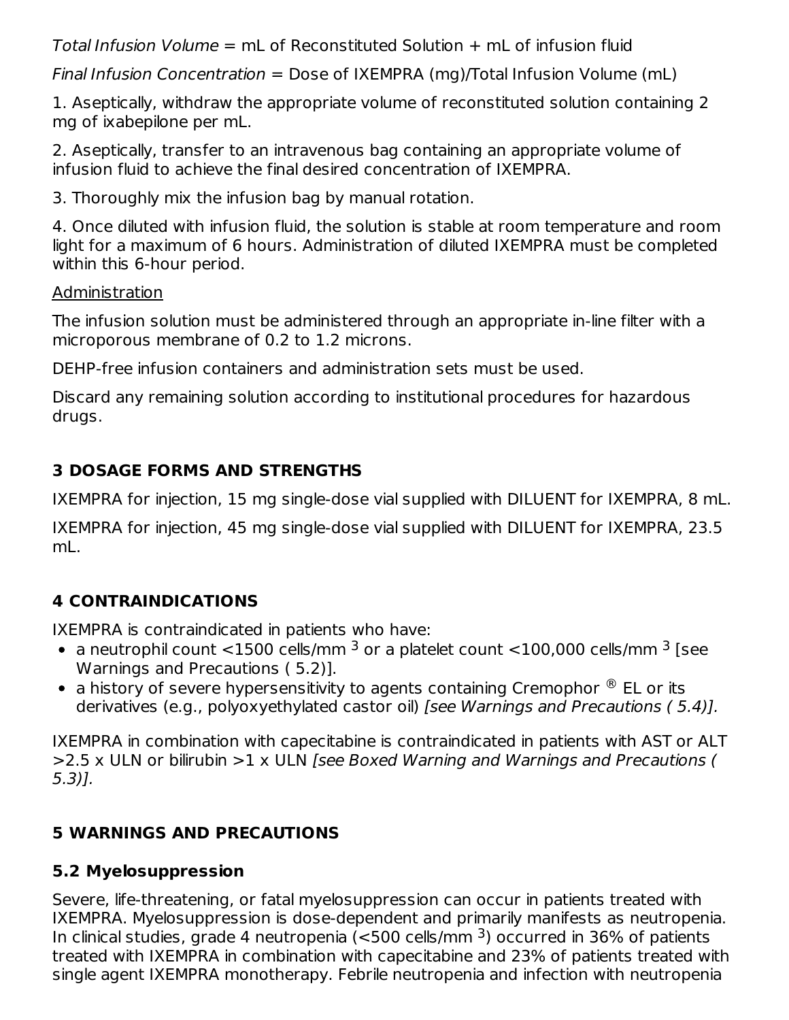Total Infusion Volume  $=$  mL of Reconstituted Solution  $+$  mL of infusion fluid

Final Infusion Concentration = Dose of IXEMPRA (mg)/Total Infusion Volume (mL)

1. Aseptically, withdraw the appropriate volume of reconstituted solution containing 2 mg of ixabepilone per mL.

2. Aseptically, transfer to an intravenous bag containing an appropriate volume of infusion fluid to achieve the final desired concentration of IXEMPRA.

3. Thoroughly mix the infusion bag by manual rotation.

4. Once diluted with infusion fluid, the solution is stable at room temperature and room light for a maximum of 6 hours. Administration of diluted IXEMPRA must be completed within this 6-hour period.

# Administration

The infusion solution must be administered through an appropriate in-line filter with a microporous membrane of 0.2 to 1.2 microns.

DEHP-free infusion containers and administration sets must be used.

Discard any remaining solution according to institutional procedures for hazardous drugs.

# **3 DOSAGE FORMS AND STRENGTHS**

IXEMPRA for injection, 15 mg single-dose vial supplied with DILUENT for IXEMPRA, 8 mL.

IXEMPRA for injection, 45 mg single-dose vial supplied with DILUENT for IXEMPRA, 23.5 mL.

# **4 CONTRAINDICATIONS**

IXEMPRA is contraindicated in patients who have:

- a neutrophil count  $<$ 1500 cells/mm  $^3$  or a platelet count  $<$ 100,000 cells/mm  $^3$  [see Warnings and Precautions ( 5.2)].
- a history of severe hypersensitivity to agents containing Cremophor  $^\circledR$  EL or its derivatives (e.g., polyoxyethylated castor oil) [see Warnings and Precautions ( 5.4)].

IXEMPRA in combination with capecitabine is contraindicated in patients with AST or ALT >2.5 x ULN or bilirubin >1 x ULN [see Boxed Warning and Warnings and Precautions ( 5.3)].

# **5 WARNINGS AND PRECAUTIONS**

# **5.2 Myelosuppression**

Severe, life-threatening, or fatal myelosuppression can occur in patients treated with IXEMPRA. Myelosuppression is dose-dependent and primarily manifests as neutropenia. In clinical studies, grade 4 neutropenia (<500 cells/mm  $^3$ ) occurred in 36% of patients treated with IXEMPRA in combination with capecitabine and 23% of patients treated with single agent IXEMPRA monotherapy. Febrile neutropenia and infection with neutropenia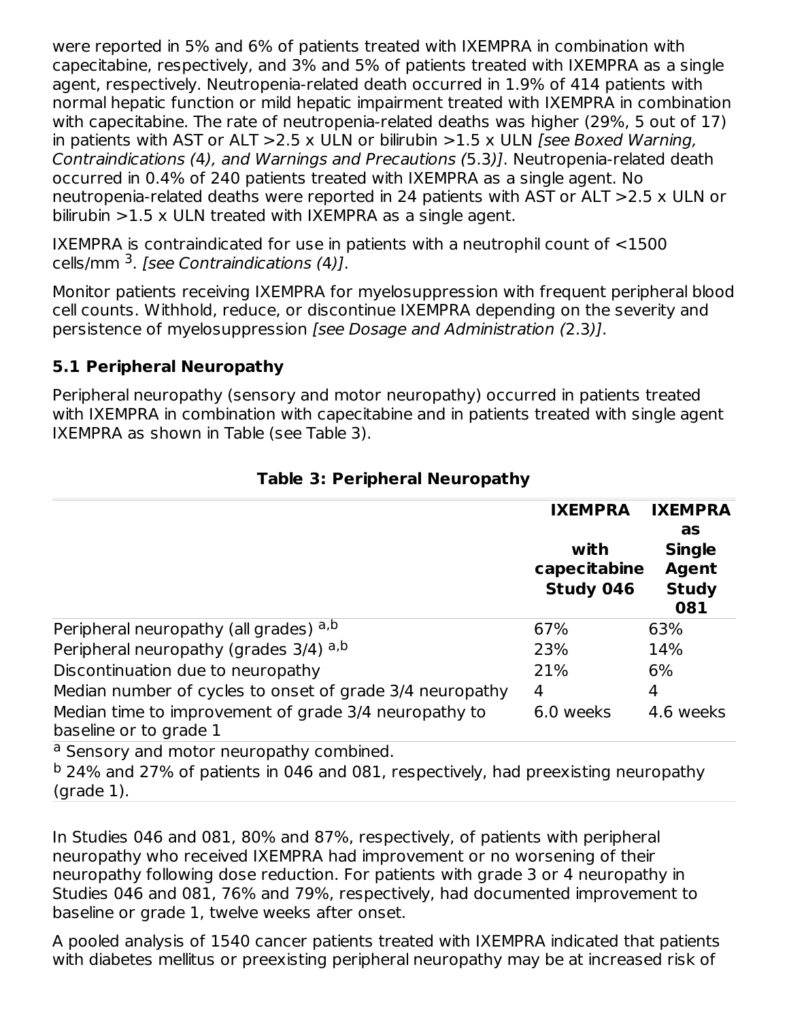were reported in 5% and 6% of patients treated with IXEMPRA in combination with capecitabine, respectively, and 3% and 5% of patients treated with IXEMPRA as a single agent, respectively. Neutropenia-related death occurred in 1.9% of 414 patients with normal hepatic function or mild hepatic impairment treated with IXEMPRA in combination with capecitabine. The rate of neutropenia-related deaths was higher (29%, 5 out of 17) in patients with AST or ALT  $>2.5$  x ULN or bilirubin  $>1.5$  x ULN [see Boxed Warning, Contraindications (4), and Warnings and Precautions (5.3)]. Neutropenia-related death occurred in 0.4% of 240 patients treated with IXEMPRA as a single agent. No neutropenia-related deaths were reported in 24 patients with AST or ALT >2.5 x ULN or bilirubin  $>1.5$  x ULN treated with IXEMPRA as a single agent.

IXEMPRA is contraindicated for use in patients with a neutrophil count of <1500 cells/mm <sup>3</sup>. [see Contraindications (4)].

Monitor patients receiving IXEMPRA for myelosuppression with frequent peripheral blood cell counts. Withhold, reduce, or discontinue IXEMPRA depending on the severity and persistence of myelosuppression [see Dosage and Administration (2.3)].

# **5.1 Peripheral Neuropathy**

Peripheral neuropathy (sensory and motor neuropathy) occurred in patients treated with IXEMPRA in combination with capecitabine and in patients treated with single agent IXEMPRA as shown in Table (see Table 3).

|                                                                                 | <b>IXEMPRA</b><br>with<br>capecitabine<br>Study 046 | <b>IXEMPRA</b><br>as<br><b>Single</b><br><b>Agent</b><br><b>Study</b><br>081 |
|---------------------------------------------------------------------------------|-----------------------------------------------------|------------------------------------------------------------------------------|
| Peripheral neuropathy (all grades) a,b                                          | 67%                                                 | 63%                                                                          |
| Peripheral neuropathy (grades 3/4) a,b                                          | 23%                                                 | 14%                                                                          |
| Discontinuation due to neuropathy                                               | 21%                                                 | 6%                                                                           |
| Median number of cycles to onset of grade 3/4 neuropathy                        | 4                                                   | 4                                                                            |
| Median time to improvement of grade 3/4 neuropathy to<br>baseline or to grade 1 | 6.0 weeks                                           | 4.6 weeks                                                                    |
| a Sensory and motor neuropathy combined.                                        |                                                     |                                                                              |

# **Table 3: Peripheral Neuropathy**

<sup>b</sup> 24% and 27% of patients in 046 and 081, respectively, had preexisting neuropathy (grade 1).

In Studies 046 and 081, 80% and 87%, respectively, of patients with peripheral neuropathy who received IXEMPRA had improvement or no worsening of their neuropathy following dose reduction. For patients with grade 3 or 4 neuropathy in Studies 046 and 081, 76% and 79%, respectively, had documented improvement to baseline or grade 1, twelve weeks after onset.

A pooled analysis of 1540 cancer patients treated with IXEMPRA indicated that patients with diabetes mellitus or preexisting peripheral neuropathy may be at increased risk of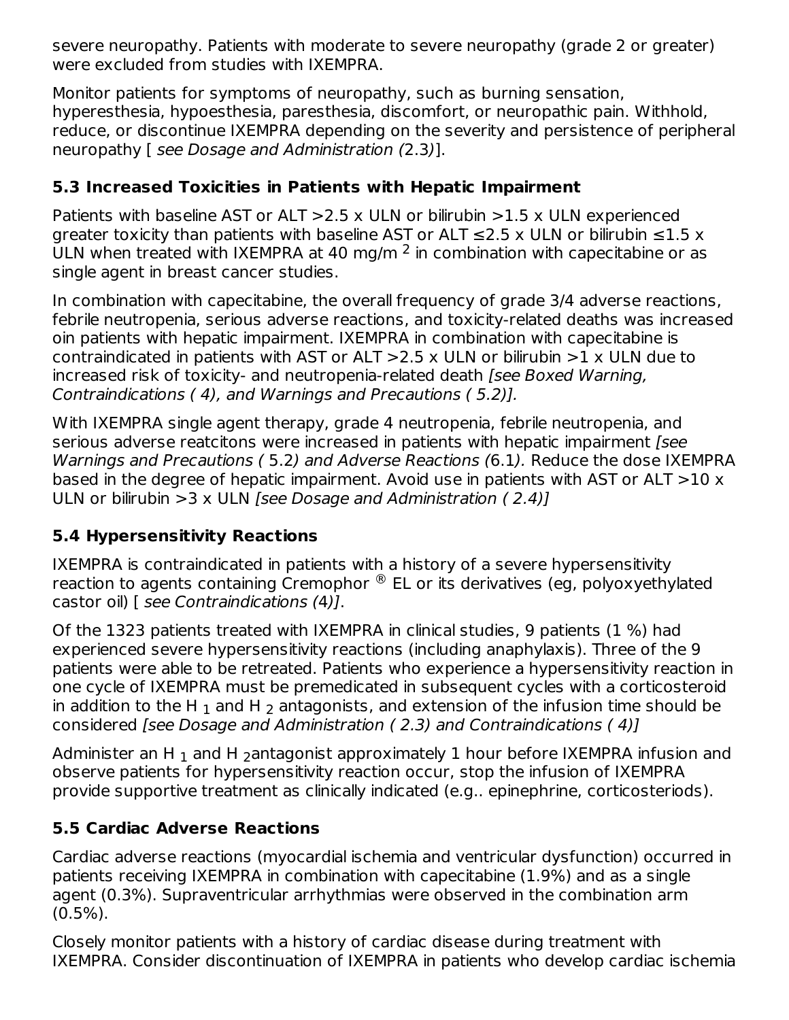severe neuropathy. Patients with moderate to severe neuropathy (grade 2 or greater) were excluded from studies with IXEMPRA.

Monitor patients for symptoms of neuropathy, such as burning sensation, hyperesthesia, hypoesthesia, paresthesia, discomfort, or neuropathic pain. Withhold, reduce, or discontinue IXEMPRA depending on the severity and persistence of peripheral neuropathy [ see Dosage and Administration (2.3)].

# **5.3 Increased Toxicities in Patients with Hepatic Impairment**

Patients with baseline AST or ALT  $>2.5$  x ULN or bilirubin  $>1.5$  x ULN experienced greater toxicity than patients with baseline AST or ALT  $\leq$ 2.5 x ULN or bilirubin  $\leq$ 1.5 x ULN when treated with IXEMPRA at 40 mg/m  $^2$  in combination with capecitabine or as single agent in breast cancer studies.

In combination with capecitabine, the overall frequency of grade 3/4 adverse reactions, febrile neutropenia, serious adverse reactions, and toxicity-related deaths was increased oin patients with hepatic impairment. IXEMPRA in combination with capecitabine is contraindicated in patients with AST or ALT  $>2.5$  x ULN or bilirubin  $>1$  x ULN due to increased risk of toxicity- and neutropenia-related death [see Boxed Warning, Contraindications ( 4), and Warnings and Precautions ( 5.2)].

With IXEMPRA single agent therapy, grade 4 neutropenia, febrile neutropenia, and serious adverse reatcitons were increased in patients with hepatic impairment [see Warnings and Precautions ( 5.2) and Adverse Reactions (6.1). Reduce the dose IXEMPRA based in the degree of hepatic impairment. Avoid use in patients with AST or ALT  $>$ 10 x ULN or bilirubin  $>3 \times$  ULN *[see Dosage and Administration (2.4)]* 

# **5.4 Hypersensitivity Reactions**

IXEMPRA is contraindicated in patients with a history of a severe hypersensitivity reaction to agents containing Cremophor  $^\circledR$  EL or its derivatives (eg, polyoxyethylated castor oil) [ see Contraindications (4)].

Of the 1323 patients treated with IXEMPRA in clinical studies, 9 patients (1 %) had experienced severe hypersensitivity reactions (including anaphylaxis). Three of the 9 patients were able to be retreated. Patients who experience a hypersensitivity reaction in one cycle of IXEMPRA must be premedicated in subsequent cycles with a corticosteroid in addition to the H  $_{\rm 1}$  and H  $_{\rm 2}$  antagonists, and extension of the infusion time should be considered [see Dosage and Administration ( 2.3) and Contraindications ( 4)]

Administer an H  $_{\rm 1}$  and H  $_{\rm 2}$ antagonist approximately  $1$  hour before IXEMPRA infusion and observe patients for hypersensitivity reaction occur, stop the infusion of IXEMPRA provide supportive treatment as clinically indicated (e.g.. epinephrine, corticosteriods).

# **5.5 Cardiac Adverse Reactions**

Cardiac adverse reactions (myocardial ischemia and ventricular dysfunction) occurred in patients receiving IXEMPRA in combination with capecitabine (1.9%) and as a single agent (0.3%). Supraventricular arrhythmias were observed in the combination arm  $(0.5\%)$ .

Closely monitor patients with a history of cardiac disease during treatment with IXEMPRA. Consider discontinuation of IXEMPRA in patients who develop cardiac ischemia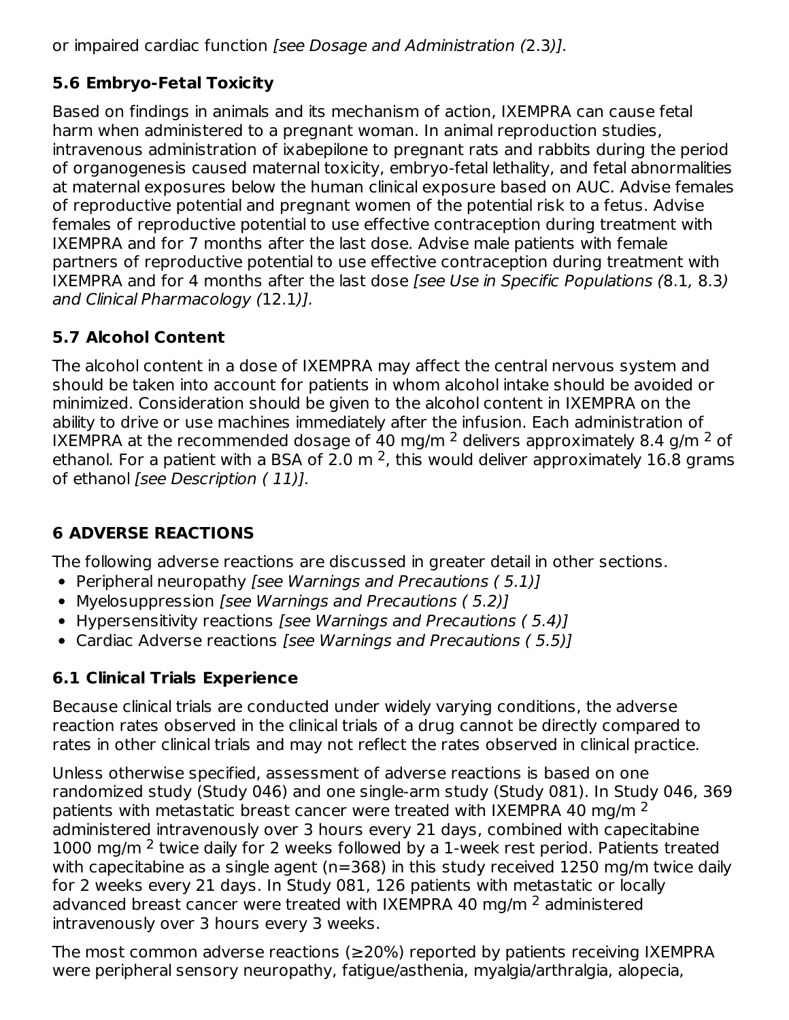or impaired cardiac function [see Dosage and Administration (2.3)].

# **5.6 Embryo-Fetal Toxicity**

Based on findings in animals and its mechanism of action, IXEMPRA can cause fetal harm when administered to a pregnant woman. In animal reproduction studies, intravenous administration of ixabepilone to pregnant rats and rabbits during the period of organogenesis caused maternal toxicity, embryo-fetal lethality, and fetal abnormalities at maternal exposures below the human clinical exposure based on AUC. Advise females of reproductive potential and pregnant women of the potential risk to a fetus. Advise females of reproductive potential to use effective contraception during treatment with IXEMPRA and for 7 months after the last dose. Advise male patients with female partners of reproductive potential to use effective contraception during treatment with IXEMPRA and for 4 months after the last dose [see Use in Specific Populations (8.1, 8.3) and Clinical Pharmacology (12.1)].

# **5.7 Alcohol Content**

The alcohol content in a dose of IXEMPRA may affect the central nervous system and should be taken into account for patients in whom alcohol intake should be avoided or minimized. Consideration should be given to the alcohol content in IXEMPRA on the ability to drive or use machines immediately after the infusion. Each administration of IXEMPRA at the recommended dosage of 40 mg/m  $^2$  delivers approximately 8.4 g/m  $^2$  of ethanol. For a patient with a BSA of 2.0 m  $^2$ , this would deliver approximately 16.8 grams of ethanol [see Description (11)].

# **6 ADVERSE REACTIONS**

The following adverse reactions are discussed in greater detail in other sections.

- Peripheral neuropathy [see Warnings and Precautions (5.1)]
- Myelosuppression [see Warnings and Precautions (5.2)]
- Hypersensitivity reactions [see Warnings and Precautions (5.4)]
- Cardiac Adverse reactions [see Warnings and Precautions (5.5)]

# **6.1 Clinical Trials Experience**

Because clinical trials are conducted under widely varying conditions, the adverse reaction rates observed in the clinical trials of a drug cannot be directly compared to rates in other clinical trials and may not reflect the rates observed in clinical practice.

Unless otherwise specified, assessment of adverse reactions is based on one randomized study (Study 046) and one single-arm study (Study 081). In Study 046, 369 patients with metastatic breast cancer were treated with IXEMPRA 40 mg/m  $^2$ administered intravenously over 3 hours every 21 days, combined with capecitabine  $1000$  mg/m  $2$  twice daily for 2 weeks followed by a 1-week rest period. Patients treated with capecitabine as a single agent (n=368) in this study received 1250 mg/m twice daily for 2 weeks every 21 days. In Study 081, 126 patients with metastatic or locally advanced breast cancer were treated with IXEMPRA 40 mg/m <sup>2</sup> administered intravenously over 3 hours every 3 weeks.

The most common adverse reactions (≥20%) reported by patients receiving IXEMPRA were peripheral sensory neuropathy, fatigue/asthenia, myalgia/arthralgia, alopecia,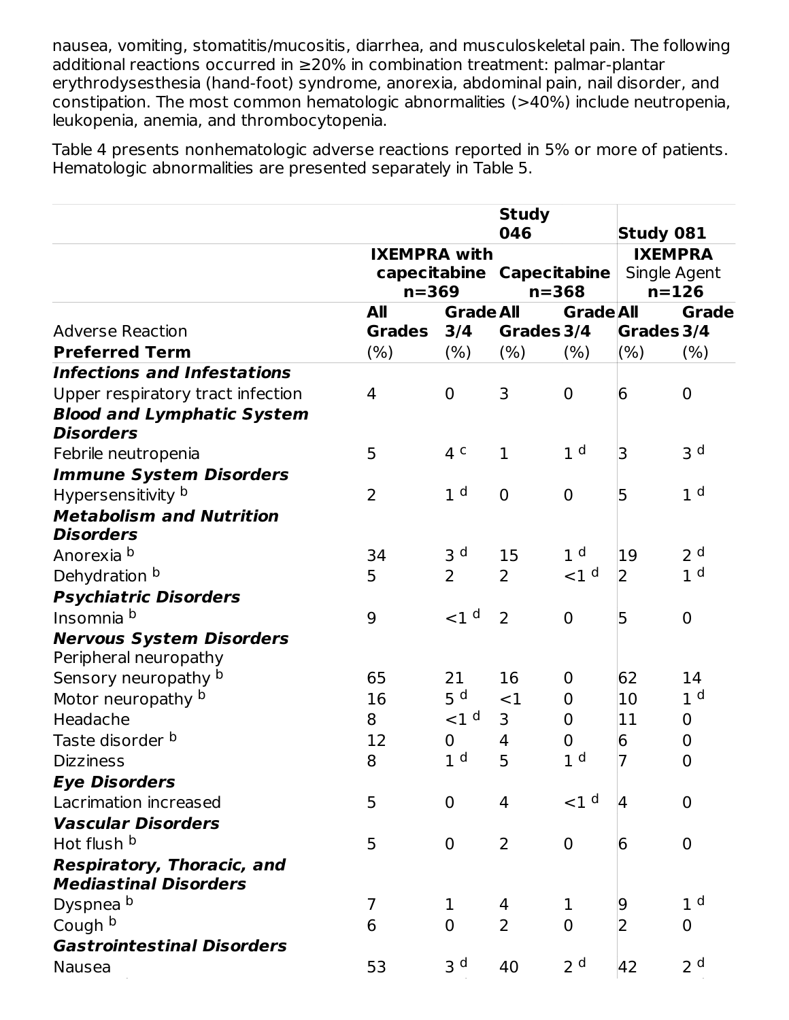nausea, vomiting, stomatitis/mucositis, diarrhea, and musculoskeletal pain. The following additional reactions occurred in ≥20% in combination treatment: palmar-plantar erythrodysesthesia (hand-foot) syndrome, anorexia, abdominal pain, nail disorder, and constipation. The most common hematologic abnormalities (>40%) include neutropenia, leukopenia, anemia, and thrombocytopenia.

Table 4 presents nonhematologic adverse reactions reported in 5% or more of patients. Hematologic abnormalities are presented separately in Table 5.

|                                    |                     |                   | <b>Study</b><br>046       |                  |                                    |                |
|------------------------------------|---------------------|-------------------|---------------------------|------------------|------------------------------------|----------------|
|                                    | <b>IXEMPRA with</b> |                   |                           |                  | <b>Study 081</b><br><b>IXEMPRA</b> |                |
|                                    |                     |                   | capecitabine Capecitabine |                  | Single Agent                       |                |
|                                    | $n = 369$           |                   | $n = 368$                 |                  |                                    | $n = 126$      |
|                                    | All                 | <b>Grade All</b>  |                           | <b>Grade All</b> |                                    | <b>Grade</b>   |
| <b>Adverse Reaction</b>            | <b>Grades</b>       | 3/4               | Grades 3/4                |                  | Grades 3/4                         |                |
| <b>Preferred Term</b>              | (% )                | (% )              | (% )                      | (% )             | $(\% )$                            | $(\% )$        |
| <b>Infections and Infestations</b> |                     |                   |                           |                  |                                    |                |
| Upper respiratory tract infection  | 4                   | $\overline{0}$    | 3                         | $\mathbf 0$      | 6                                  | $\mathbf 0$    |
| <b>Blood and Lymphatic System</b>  |                     |                   |                           |                  |                                    |                |
| <b>Disorders</b>                   |                     |                   |                           |                  |                                    |                |
| Febrile neutropenia                | 5                   | 4 <sup>c</sup>    | $\mathbf{1}$              | 1 <sup>d</sup>   | 3                                  | 3 <sub>d</sub> |
| <b>Immune System Disorders</b>     |                     |                   |                           |                  |                                    |                |
| Hypersensitivity b                 | $\overline{2}$      | 1 <sup>d</sup>    | $\overline{0}$            | $\mathbf 0$      | 5                                  | 1 <sup>d</sup> |
| <b>Metabolism and Nutrition</b>    |                     |                   |                           |                  |                                    |                |
| <b>Disorders</b>                   |                     |                   |                           |                  |                                    |                |
| Anorexia b                         | 34                  | 3 <sup>d</sup>    | 15                        | 1 <sup>d</sup>   | 19                                 | 2 <sup>d</sup> |
| Dehydration b                      | 5                   | $\overline{2}$    | $\overline{2}$            | $<$ 1 $d$        | 2                                  | 1 <sup>d</sup> |
| <b>Psychiatric Disorders</b>       |                     |                   |                           |                  |                                    |                |
| Insomnia b                         | 9                   | $<$ 1 $d$         | $\overline{2}$            | $\mathbf 0$      | 5                                  | $\overline{0}$ |
| <b>Nervous System Disorders</b>    |                     |                   |                           |                  |                                    |                |
| Peripheral neuropathy              |                     |                   |                           |                  |                                    |                |
| Sensory neuropathy b               | 65                  | 21                | 16                        | $\mathbf 0$      | 62                                 | 14             |
| Motor neuropathy b                 | 16                  | 5 <sup>d</sup>    | $<$ 1                     | $\overline{0}$   | 10                                 | 1 <sup>d</sup> |
| Headache                           | 8                   | $1<$ d            | 3                         | $\mathbf 0$      | 11                                 | $\mathbf 0$    |
| Taste disorder b                   | 12                  | $\mathbf 0$       | 4                         | 0                | 6                                  | 0              |
| <b>Dizziness</b>                   | 8                   | $\mathbf{1}$<br>d | 5                         | 1 <sup>d</sup>   | $\overline{7}$                     | $\mathbf 0$    |
| <b>Eye Disorders</b>               |                     |                   |                           |                  |                                    |                |
| Lacrimation increased              | 5                   | $\overline{0}$    | 4                         | $<$ 1 $d$        | 4                                  | $\overline{0}$ |
| <b>Vascular Disorders</b>          |                     |                   |                           |                  |                                    |                |
| Hot flush b                        | 5                   | $\overline{0}$    | 2                         | $\mathbf 0$      | 6                                  | $\mathbf 0$    |
| Respiratory, Thoracic, and         |                     |                   |                           |                  |                                    |                |
| <b>Mediastinal Disorders</b>       |                     |                   |                           |                  |                                    |                |
| Dyspnea <sup>b</sup>               | $\overline{7}$      | $\mathbf 1$       | 4                         | $\mathbf 1$      | 9                                  | 1 <sup>d</sup> |
| Cough b                            | 6                   | $\overline{0}$    | $\overline{2}$            | $\overline{0}$   | 2                                  | $\overline{0}$ |
| <b>Gastrointestinal Disorders</b>  |                     |                   |                           |                  |                                    |                |
| Nausea                             | 53                  | 3 <sup>d</sup>    | 40                        | 2 <sup>d</sup>   | 42                                 | 2 <sup>d</sup> |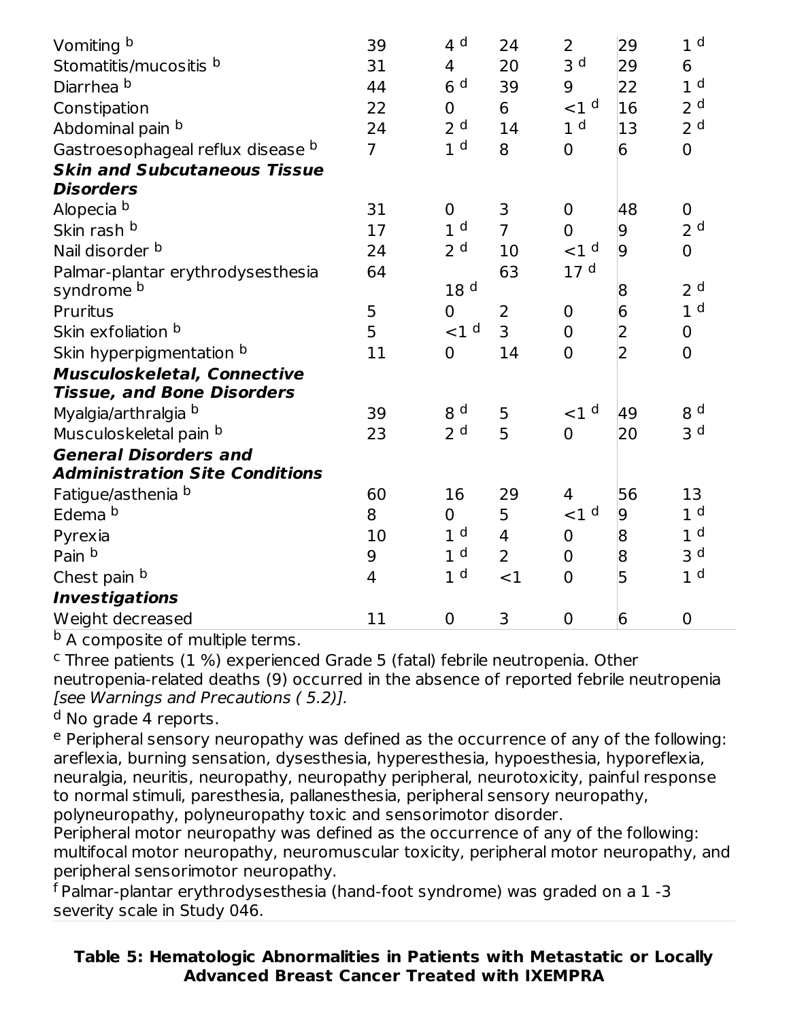| Vomiting b<br>Stomatitis/mucositis b<br>Diarrhea <sup>b</sup><br>Constipation<br>Abdominal pain b<br>Gastroesophageal reflux disease b<br><b>Skin and Subcutaneous Tissue</b><br><b>Disorders</b> | 39<br>31<br>44<br>22<br>24<br>$\overline{7}$ | 4 <sup>d</sup><br>$\overline{4}$<br>6 <sup>d</sup><br>$\mathbf 0$<br>2 <sup>d</sup><br>1 <sup>d</sup> | 24<br>20<br>39<br>6<br>14<br>8 | 2<br>3 <sup>d</sup><br>9<br>${<}1d$<br>1 <sup>d</sup><br>$\overline{0}$ | 29<br>29<br>22<br>16<br>13<br>$6\overline{6}$ | 1 <sup>d</sup><br>6<br>1 <sup>d</sup><br>2 <sup>d</sup><br>2 <sup>d</sup><br>$\overline{0}$ |
|---------------------------------------------------------------------------------------------------------------------------------------------------------------------------------------------------|----------------------------------------------|-------------------------------------------------------------------------------------------------------|--------------------------------|-------------------------------------------------------------------------|-----------------------------------------------|---------------------------------------------------------------------------------------------|
| Alopecia b                                                                                                                                                                                        | 31                                           | $\mathbf 0$                                                                                           | 3                              | $\mathbf 0$                                                             | 48                                            | $\mathbf 0$                                                                                 |
| Skin rash b                                                                                                                                                                                       | 17                                           | 1 <sup>d</sup>                                                                                        | $\overline{7}$                 | $\overline{0}$                                                          | $\overline{9}$                                | 2 <sup>d</sup>                                                                              |
| Nail disorder b                                                                                                                                                                                   | 24                                           | 2 <sup>d</sup>                                                                                        | 10                             | $<$ 1 $<$                                                               | $\overline{9}$                                | $\mathbf 0$                                                                                 |
| Palmar-plantar erythrodysesthesia                                                                                                                                                                 | 64                                           |                                                                                                       | 63                             | 17 <sup>d</sup>                                                         |                                               |                                                                                             |
| syndrome b                                                                                                                                                                                        |                                              | 18 <sup>d</sup>                                                                                       |                                |                                                                         | 8                                             | 2 <sup>d</sup>                                                                              |
| Pruritus                                                                                                                                                                                          | 5                                            | $\overline{0}$                                                                                        | 2                              | $\mathbf 0$                                                             | $6\overline{6}$                               | 1 <sup>d</sup>                                                                              |
| Skin exfoliation b                                                                                                                                                                                | 5                                            | $<1$ <sup>d</sup>                                                                                     | 3                              | $\mathbf 0$                                                             | 2                                             | $\pmb{0}$                                                                                   |
| Skin hyperpigmentation b                                                                                                                                                                          | 11                                           | $\overline{0}$                                                                                        | 14                             | $\overline{0}$                                                          | $\overline{2}$                                | $\mathbf 0$                                                                                 |
| <b>Musculoskeletal, Connective</b>                                                                                                                                                                |                                              |                                                                                                       |                                |                                                                         |                                               |                                                                                             |
| <b>Tissue, and Bone Disorders</b>                                                                                                                                                                 |                                              |                                                                                                       |                                |                                                                         |                                               |                                                                                             |
| Myalgia/arthralgia b                                                                                                                                                                              | 39                                           | 8 <sup>d</sup>                                                                                        | 5                              | $<$ 1 $d$                                                               | 49                                            | 8 <sup>d</sup>                                                                              |
| Musculoskeletal pain b                                                                                                                                                                            | 23                                           | 2 <sup>d</sup>                                                                                        | 5                              | $\overline{0}$                                                          | 20                                            | 3 <sup>d</sup>                                                                              |
| <b>General Disorders and</b>                                                                                                                                                                      |                                              |                                                                                                       |                                |                                                                         |                                               |                                                                                             |
| <b>Administration Site Conditions</b>                                                                                                                                                             |                                              |                                                                                                       |                                |                                                                         |                                               |                                                                                             |
| Fatigue/asthenia b                                                                                                                                                                                | 60                                           | 16                                                                                                    | 29                             | $\overline{4}$                                                          | 56                                            | 13                                                                                          |
| Edema b                                                                                                                                                                                           | 8                                            | $\mathbf 0$                                                                                           | 5                              | $<1$ <sup>d</sup>                                                       | 9                                             | 1 <sup>d</sup>                                                                              |
| Pyrexia                                                                                                                                                                                           | 10                                           | 1 <sup>d</sup>                                                                                        | $\overline{4}$                 | $\overline{0}$                                                          | 8                                             | 1 <sup>d</sup>                                                                              |
| Pain b                                                                                                                                                                                            | 9                                            | 1 <sup>d</sup>                                                                                        | $\overline{2}$                 | $\mathbf 0$                                                             | 8                                             | 3 <sub>d</sub>                                                                              |
| Chest pain b                                                                                                                                                                                      | 4                                            | 1 <sup>d</sup>                                                                                        | $<$ 1                          | $\Omega$                                                                | $\overline{5}$                                | 1 <sup>d</sup>                                                                              |
| <b>Investigations</b>                                                                                                                                                                             |                                              |                                                                                                       |                                |                                                                         |                                               |                                                                                             |
| Weight decreased                                                                                                                                                                                  | 11                                           | $\mathbf 0$                                                                                           | 3                              | $\mathbf 0$                                                             | 6                                             | $\mathbf 0$                                                                                 |

<sup>b</sup> A composite of multiple terms.

 $c$  Three patients (1 %) experienced Grade 5 (fatal) febrile neutropenia. Other neutropenia-related deaths (9) occurred in the absence of reported febrile neutropenia [see Warnings and Precautions ( 5.2)].

<sup>d</sup> No grade 4 reports.

<sup>e</sup> Peripheral sensory neuropathy was defined as the occurrence of any of the following: areflexia, burning sensation, dysesthesia, hyperesthesia, hypoesthesia, hyporeflexia, neuralgia, neuritis, neuropathy, neuropathy peripheral, neurotoxicity, painful response to normal stimuli, paresthesia, pallanesthesia, peripheral sensory neuropathy, polyneuropathy, polyneuropathy toxic and sensorimotor disorder.

Peripheral motor neuropathy was defined as the occurrence of any of the following: multifocal motor neuropathy, neuromuscular toxicity, peripheral motor neuropathy, and peripheral sensorimotor neuropathy.

 $^{\mathsf{f}}$  Palmar-plantar erythrodysesthesia (hand-foot syndrome) was graded on a  $1$  -3 severity scale in Study 046.

**Table 5: Hematologic Abnormalities in Patients with Metastatic or Locally Advanced Breast Cancer Treated with IXEMPRA**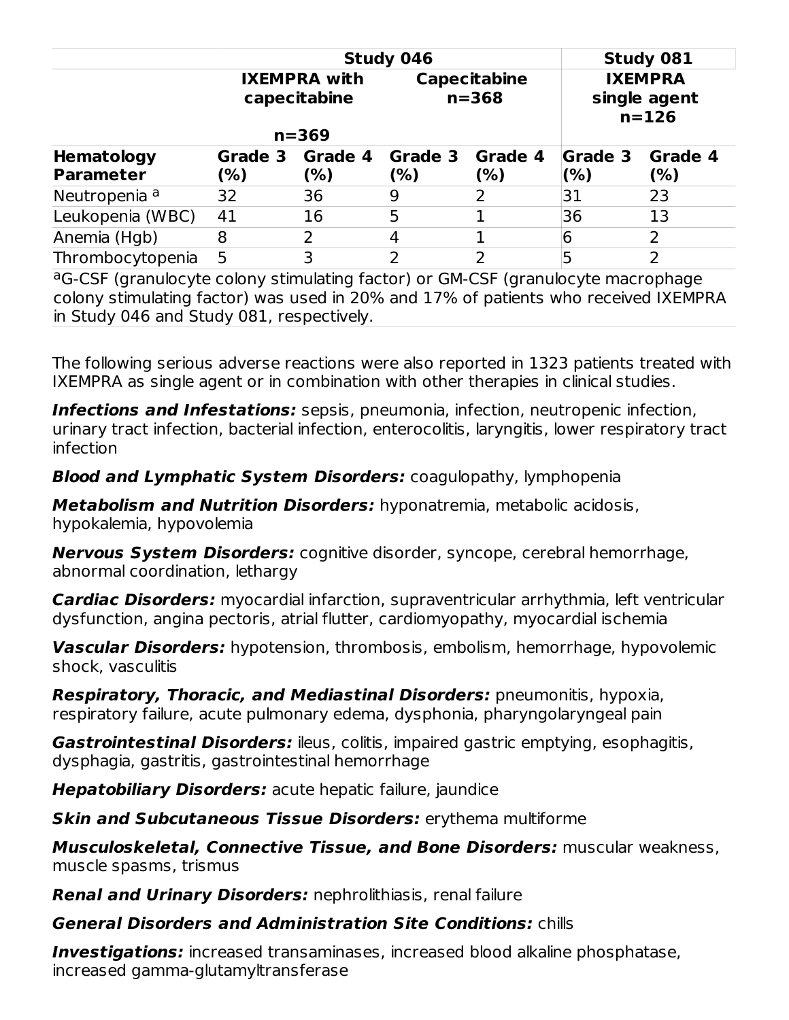|                                | Study 081      |                                                  |                |                                  |                                             |                 |
|--------------------------------|----------------|--------------------------------------------------|----------------|----------------------------------|---------------------------------------------|-----------------|
|                                |                | <b>IXEMPRA with</b><br>capecitabine<br>$n = 369$ |                | <b>Capecitabine</b><br>$n = 368$ | <b>IXEMPRA</b><br>single agent<br>$n = 126$ |                 |
| Hematology<br><b>Parameter</b> | Grade 3<br>(%) | Grade 4<br>(%)                                   | Grade 3<br>(%) | Grade 4<br>(%)                   | <b>Grade 3</b><br>(% )                      | Grade 4<br>(% ) |
| Neutropenia <sup>a</sup>       | 32             | 36                                               | 9              |                                  | 31                                          | 23              |
| Leukopenia (WBC)               | 41             | 16                                               | 5              |                                  | 36                                          | 13              |
| Anemia (Hgb)                   | 8              | $\overline{2}$                                   | 4              |                                  | 6                                           | 2               |
| Thrombocytopenia               | 5              | 3                                                | 2              | 2                                |                                             | 2               |

<sup>a</sup>G-CSF (granulocyte colony stimulating factor) or GM-CSF (granulocyte macrophage colony stimulating factor) was used in 20% and 17% of patients who received IXEMPRA in Study 046 and Study 081, respectively.

The following serious adverse reactions were also reported in 1323 patients treated with IXEMPRA as single agent or in combination with other therapies in clinical studies.

**Infections and Infestations:** sepsis, pneumonia, infection, neutropenic infection, urinary tract infection, bacterial infection, enterocolitis, laryngitis, lower respiratory tract infection

**Blood and Lymphatic System Disorders:** coagulopathy, lymphopenia

**Metabolism and Nutrition Disorders:** hyponatremia, metabolic acidosis, hypokalemia, hypovolemia

**Nervous System Disorders:** cognitive disorder, syncope, cerebral hemorrhage, abnormal coordination, lethargy

**Cardiac Disorders:** myocardial infarction, supraventricular arrhythmia, left ventricular dysfunction, angina pectoris, atrial flutter, cardiomyopathy, myocardial ischemia

**Vascular Disorders:** hypotension, thrombosis, embolism, hemorrhage, hypovolemic shock, vasculitis

**Respiratory, Thoracic, and Mediastinal Disorders:** pneumonitis, hypoxia, respiratory failure, acute pulmonary edema, dysphonia, pharyngolaryngeal pain

**Gastrointestinal Disorders:** ileus, colitis, impaired gastric emptying, esophagitis, dysphagia, gastritis, gastrointestinal hemorrhage

**Hepatobiliary Disorders:** acute hepatic failure, jaundice

**Skin and Subcutaneous Tissue Disorders:** erythema multiforme

**Musculoskeletal, Connective Tissue, and Bone Disorders:** muscular weakness, muscle spasms, trismus

**Renal and Urinary Disorders:** nephrolithiasis, renal failure

# **General Disorders and Administration Site Conditions:** chills

**Investigations:** increased transaminases, increased blood alkaline phosphatase, increased gamma-glutamyltransferase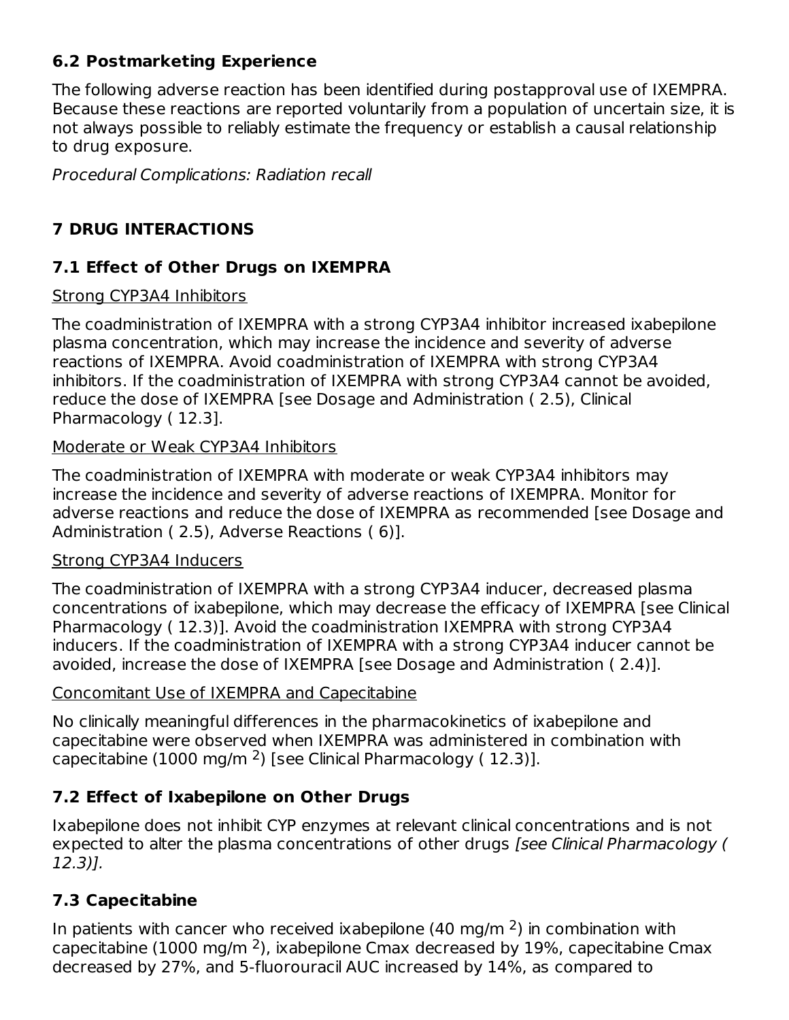# **6.2 Postmarketing Experience**

The following adverse reaction has been identified during postapproval use of IXEMPRA. Because these reactions are reported voluntarily from a population of uncertain size, it is not always possible to reliably estimate the frequency or establish a causal relationship to drug exposure.

Procedural Complications: Radiation recall

# **7 DRUG INTERACTIONS**

# **7.1 Effect of Other Drugs on IXEMPRA**

#### Strong CYP3A4 Inhibitors

The coadministration of IXEMPRA with a strong CYP3A4 inhibitor increased ixabepilone plasma concentration, which may increase the incidence and severity of adverse reactions of IXEMPRA. Avoid coadministration of IXEMPRA with strong CYP3A4 inhibitors. If the coadministration of IXEMPRA with strong CYP3A4 cannot be avoided, reduce the dose of IXEMPRA [see Dosage and Administration ( 2.5), Clinical Pharmacology ( 12.3].

#### Moderate or Weak CYP3A4 Inhibitors

The coadministration of IXEMPRA with moderate or weak CYP3A4 inhibitors may increase the incidence and severity of adverse reactions of IXEMPRA. Monitor for adverse reactions and reduce the dose of IXEMPRA as recommended [see Dosage and Administration ( 2.5), Adverse Reactions ( 6)].

#### Strong CYP3A4 Inducers

The coadministration of IXEMPRA with a strong CYP3A4 inducer, decreased plasma concentrations of ixabepilone, which may decrease the efficacy of IXEMPRA [see Clinical Pharmacology ( 12.3)]. Avoid the coadministration IXEMPRA with strong CYP3A4 inducers. If the coadministration of IXEMPRA with a strong CYP3A4 inducer cannot be avoided, increase the dose of IXEMPRA [see Dosage and Administration ( 2.4)].

# Concomitant Use of IXEMPRA and Capecitabine

No clinically meaningful differences in the pharmacokinetics of ixabepilone and capecitabine were observed when IXEMPRA was administered in combination with capecitabine (1000 mg/m  $^2$ ) [see Clinical Pharmacology (12.3)].

# **7.2 Effect of Ixabepilone on Other Drugs**

Ixabepilone does not inhibit CYP enzymes at relevant clinical concentrations and is not expected to alter the plasma concentrations of other drugs [see Clinical Pharmacology ( 12.3)].

# **7.3 Capecitabine**

In patients with cancer who received ixabepilone (40 mg/m  $2$ ) in combination with capecitabine (1000 mg/m  $^2$ ), ixabepilone Cmax decreased by 19%, capecitabine Cmax decreased by 27%, and 5-fluorouracil AUC increased by 14%, as compared to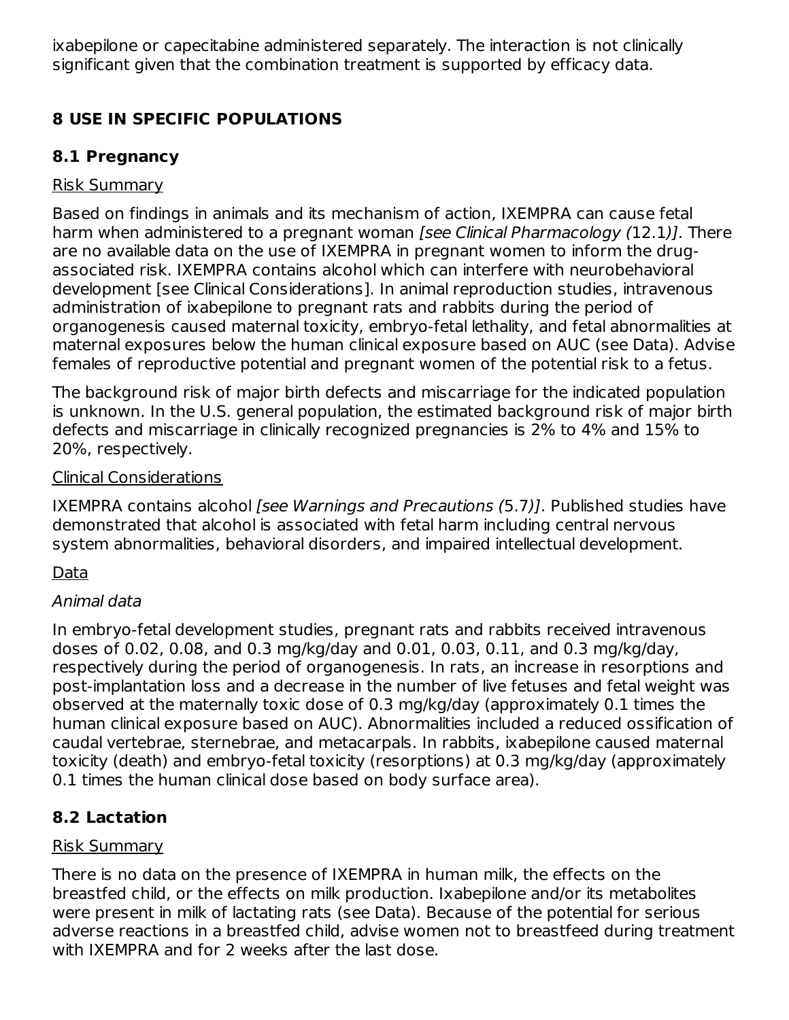ixabepilone or capecitabine administered separately. The interaction is not clinically significant given that the combination treatment is supported by efficacy data.

# **8 USE IN SPECIFIC POPULATIONS**

# **8.1 Pregnancy**

# Risk Summary

Based on findings in animals and its mechanism of action, IXEMPRA can cause fetal harm when administered to a pregnant woman [see Clinical Pharmacology (12.1)]. There are no available data on the use of IXEMPRA in pregnant women to inform the drugassociated risk. IXEMPRA contains alcohol which can interfere with neurobehavioral development [see Clinical Considerations]. In animal reproduction studies, intravenous administration of ixabepilone to pregnant rats and rabbits during the period of organogenesis caused maternal toxicity, embryo-fetal lethality, and fetal abnormalities at maternal exposures below the human clinical exposure based on AUC (see Data). Advise females of reproductive potential and pregnant women of the potential risk to a fetus.

The background risk of major birth defects and miscarriage for the indicated population is unknown. In the U.S. general population, the estimated background risk of major birth defects and miscarriage in clinically recognized pregnancies is 2% to 4% and 15% to 20%, respectively.

#### Clinical Considerations

IXEMPRA contains alcohol *[see Warnings and Precautions (5.7)]*. Published studies have demonstrated that alcohol is associated with fetal harm including central nervous system abnormalities, behavioral disorders, and impaired intellectual development.

# **Data**

# Animal data

In embryo-fetal development studies, pregnant rats and rabbits received intravenous doses of 0.02, 0.08, and 0.3 mg/kg/day and 0.01, 0.03, 0.11, and 0.3 mg/kg/day, respectively during the period of organogenesis. In rats, an increase in resorptions and post-implantation loss and a decrease in the number of live fetuses and fetal weight was observed at the maternally toxic dose of 0.3 mg/kg/day (approximately 0.1 times the human clinical exposure based on AUC). Abnormalities included a reduced ossification of caudal vertebrae, sternebrae, and metacarpals. In rabbits, ixabepilone caused maternal toxicity (death) and embryo-fetal toxicity (resorptions) at 0.3 mg/kg/day (approximately 0.1 times the human clinical dose based on body surface area).

# **8.2 Lactation**

#### Risk Summary

There is no data on the presence of IXEMPRA in human milk, the effects on the breastfed child, or the effects on milk production. Ixabepilone and/or its metabolites were present in milk of lactating rats (see Data). Because of the potential for serious adverse reactions in a breastfed child, advise women not to breastfeed during treatment with IXEMPRA and for 2 weeks after the last dose.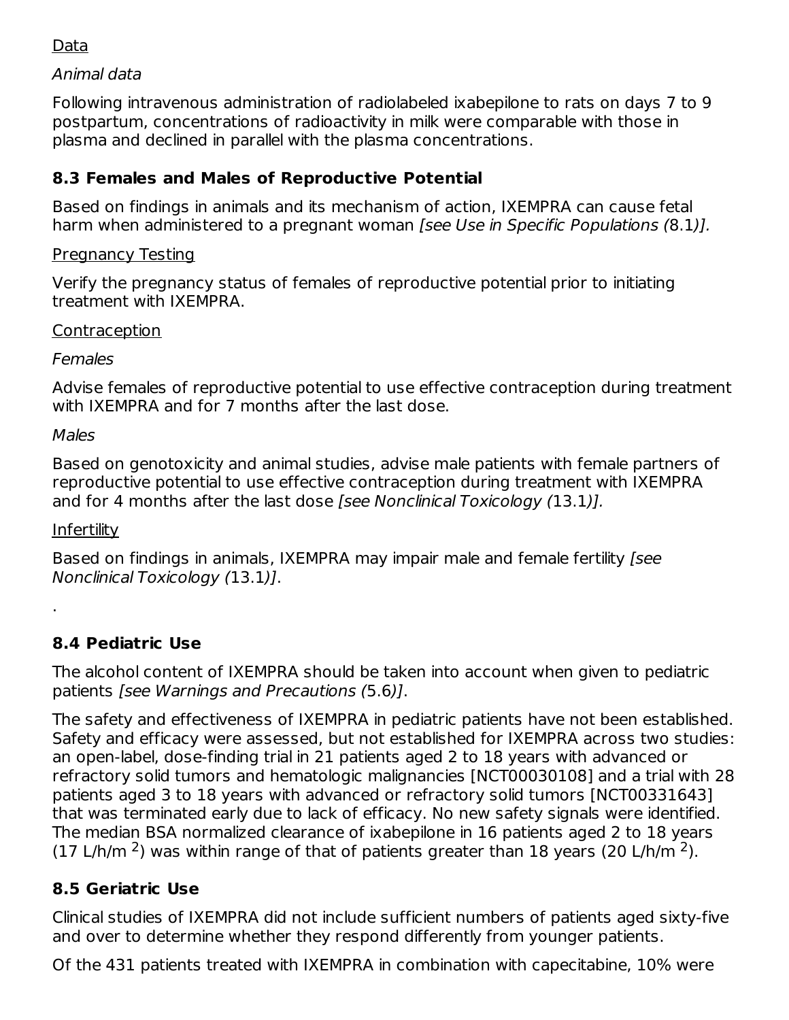#### Data

#### Animal data

Following intravenous administration of radiolabeled ixabepilone to rats on days 7 to 9 postpartum, concentrations of radioactivity in milk were comparable with those in plasma and declined in parallel with the plasma concentrations.

# **8.3 Females and Males of Reproductive Potential**

Based on findings in animals and its mechanism of action, IXEMPRA can cause fetal harm when administered to a pregnant woman [see Use in Specific Populations (8.1)].

#### Pregnancy Testing

Verify the pregnancy status of females of reproductive potential prior to initiating treatment with IXEMPRA.

#### **Contraception**

Females

Advise females of reproductive potential to use effective contraception during treatment with IXEMPRA and for 7 months after the last dose.

#### Males

Based on genotoxicity and animal studies, advise male patients with female partners of reproductive potential to use effective contraception during treatment with IXEMPRA and for 4 months after the last dose [see Nonclinical Toxicology (13.1)].

# **Infertility**

.

Based on findings in animals, IXEMPRA may impair male and female fertility [see Nonclinical Toxicology (13.1)].

# **8.4 Pediatric Use**

The alcohol content of IXEMPRA should be taken into account when given to pediatric patients [see Warnings and Precautions (5.6)].

The safety and effectiveness of IXEMPRA in pediatric patients have not been established. Safety and efficacy were assessed, but not established for IXEMPRA across two studies: an open-label, dose-finding trial in 21 patients aged 2 to 18 years with advanced or refractory solid tumors and hematologic malignancies [NCT00030108] and a trial with 28 patients aged 3 to 18 years with advanced or refractory solid tumors [NCT00331643] that was terminated early due to lack of efficacy. No new safety signals were identified. The median BSA normalized clearance of ixabepilone in 16 patients aged 2 to 18 years (17 L/h/m  $^2$ ) was within range of that of patients greater than 18 years (20 L/h/m  $^2$ ).

# **8.5 Geriatric Use**

Clinical studies of IXEMPRA did not include sufficient numbers of patients aged sixty-five and over to determine whether they respond differently from younger patients.

Of the 431 patients treated with IXEMPRA in combination with capecitabine, 10% were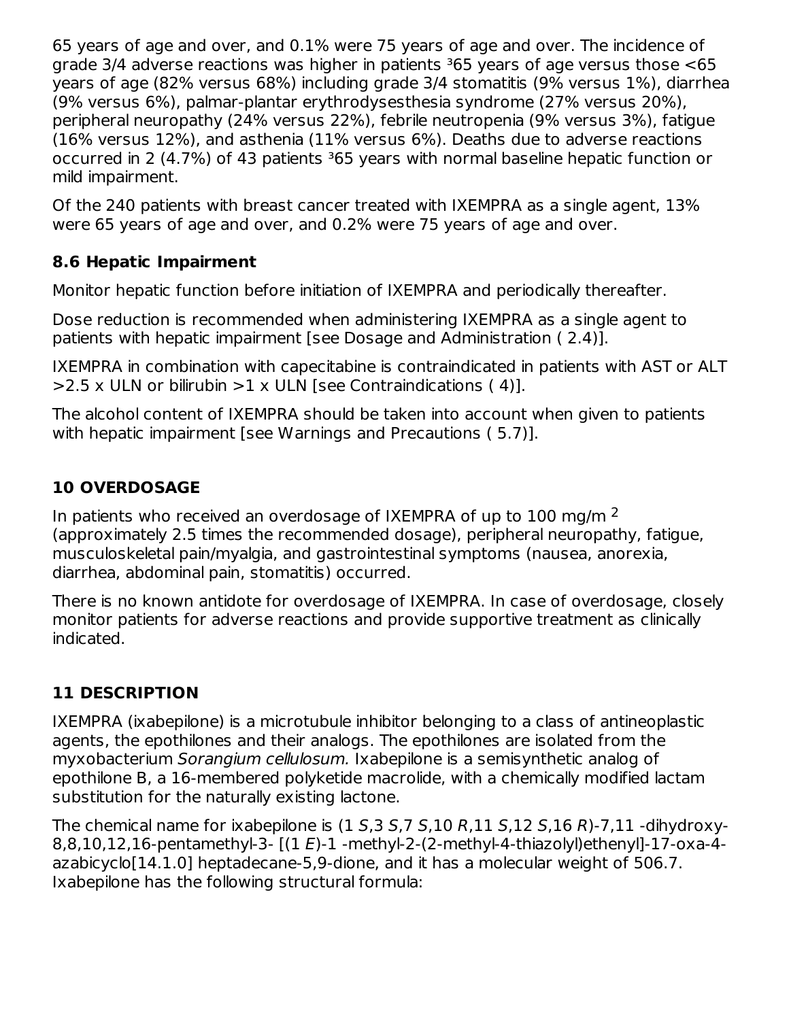65 years of age and over, and 0.1% were 75 years of age and over. The incidence of grade  $3/4$  adverse reactions was higher in patients  $365$  years of age versus those  $\leq 65$ years of age (82% versus 68%) including grade 3/4 stomatitis (9% versus 1%), diarrhea (9% versus 6%), palmar-plantar erythrodysesthesia syndrome (27% versus 20%), peripheral neuropathy (24% versus 22%), febrile neutropenia (9% versus 3%), fatigue (16% versus 12%), and asthenia (11% versus 6%). Deaths due to adverse reactions occurred in 2 (4.7%) of 43 patients <sup>3</sup>65 years with normal baseline hepatic function or mild impairment.

Of the 240 patients with breast cancer treated with IXEMPRA as a single agent, 13% were 65 years of age and over, and 0.2% were 75 years of age and over.

# **8.6 Hepatic Impairment**

Monitor hepatic function before initiation of IXEMPRA and periodically thereafter.

Dose reduction is recommended when administering IXEMPRA as a single agent to patients with hepatic impairment [see Dosage and Administration ( 2.4)].

IXEMPRA in combination with capecitabine is contraindicated in patients with AST or ALT  $>$ 2.5 x ULN or bilirubin  $>$ 1 x ULN [see Contraindications (4)].

The alcohol content of IXEMPRA should be taken into account when given to patients with hepatic impairment [see Warnings and Precautions (5.7)].

# **10 OVERDOSAGE**

In patients who received an overdosage of IXEMPRA of up to 100 mg/m  $^2$ (approximately 2.5 times the recommended dosage), peripheral neuropathy, fatigue, musculoskeletal pain/myalgia, and gastrointestinal symptoms (nausea, anorexia, diarrhea, abdominal pain, stomatitis) occurred.

There is no known antidote for overdosage of IXEMPRA. In case of overdosage, closely monitor patients for adverse reactions and provide supportive treatment as clinically indicated.

# **11 DESCRIPTION**

IXEMPRA (ixabepilone) is a microtubule inhibitor belonging to a class of antineoplastic agents, the epothilones and their analogs. The epothilones are isolated from the myxobacterium Sorangium cellulosum. Ixabepilone is a semisynthetic analog of epothilone B, a 16-membered polyketide macrolide, with a chemically modified lactam substitution for the naturally existing lactone.

The chemical name for ixabepilone is  $(1 5.3 5.7 5.10 R.11 S.12 S.16 R)$ -7.11 -dihydroxy-8,8,10,12,16-pentamethyl-3- [(1 E)-1 -methyl-2-(2-methyl-4-thiazolyl)ethenyl]-17-oxa-4 azabicyclo[14.1.0] heptadecane-5,9-dione, and it has a molecular weight of 506.7. Ixabepilone has the following structural formula: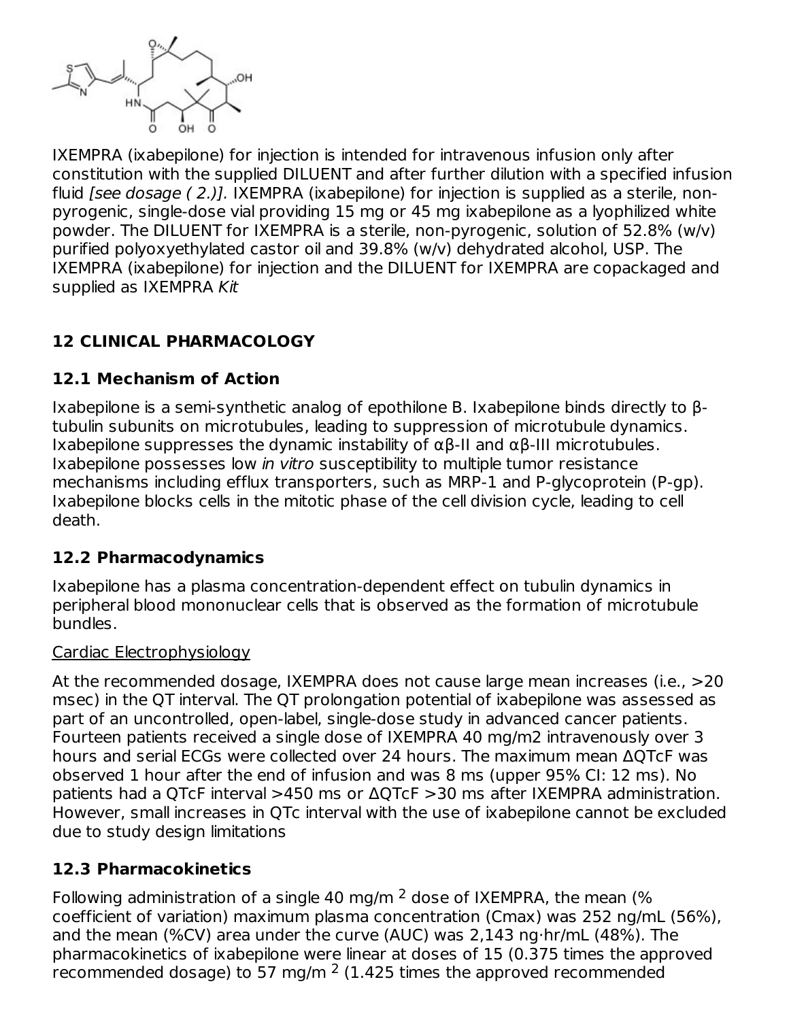

IXEMPRA (ixabepilone) for injection is intended for intravenous infusion only after constitution with the supplied DILUENT and after further dilution with a specified infusion fluid *[see dosage ( 2.)]*. IXEMPRA (ixabepilone) for injection is supplied as a sterile, nonpyrogenic, single-dose vial providing 15 mg or 45 mg ixabepilone as a lyophilized white powder. The DILUENT for IXEMPRA is a sterile, non-pyrogenic, solution of 52.8% (w/v) purified polyoxyethylated castor oil and 39.8% (w/v) dehydrated alcohol, USP. The IXEMPRA (ixabepilone) for injection and the DILUENT for IXEMPRA are copackaged and supplied as IXEMPRA Kit

# **12 CLINICAL PHARMACOLOGY**

# **12.1 Mechanism of Action**

Ixabepilone is a semi-synthetic analog of epothilone B. Ixabepilone binds directly to βtubulin subunits on microtubules, leading to suppression of microtubule dynamics. Ixabepilone suppresses the dynamic instability of  $\alpha\beta$ -II and  $\alpha\beta$ -III microtubules. Ixabepilone possesses low in vitro susceptibility to multiple tumor resistance mechanisms including efflux transporters, such as MRP-1 and P-glycoprotein (P-gp). Ixabepilone blocks cells in the mitotic phase of the cell division cycle, leading to cell death.

# **12.2 Pharmacodynamics**

Ixabepilone has a plasma concentration-dependent effect on tubulin dynamics in peripheral blood mononuclear cells that is observed as the formation of microtubule bundles.

#### Cardiac Electrophysiology

At the recommended dosage, IXEMPRA does not cause large mean increases (i.e., >20 msec) in the QT interval. The QT prolongation potential of ixabepilone was assessed as part of an uncontrolled, open-label, single-dose study in advanced cancer patients. Fourteen patients received a single dose of IXEMPRA 40 mg/m2 intravenously over 3 hours and serial ECGs were collected over 24 hours. The maximum mean ΔQTcF was observed 1 hour after the end of infusion and was 8 ms (upper 95% CI: 12 ms). No patients had a QTcF interval >450 ms or ΔQTcF >30 ms after IXEMPRA administration. However, small increases in QTc interval with the use of ixabepilone cannot be excluded due to study design limitations

# **12.3 Pharmacokinetics**

Following administration of a single 40 mg/m  $^2$  dose of IXEMPRA, the mean (%) coefficient of variation) maximum plasma concentration (Cmax) was 252 ng/mL (56%), and the mean (%CV) area under the curve (AUC) was 2,143 ng·hr/mL (48%). The pharmacokinetics of ixabepilone were linear at doses of 15 (0.375 times the approved recommended dosage) to 57 mg/m  $2$  (1.425 times the approved recommended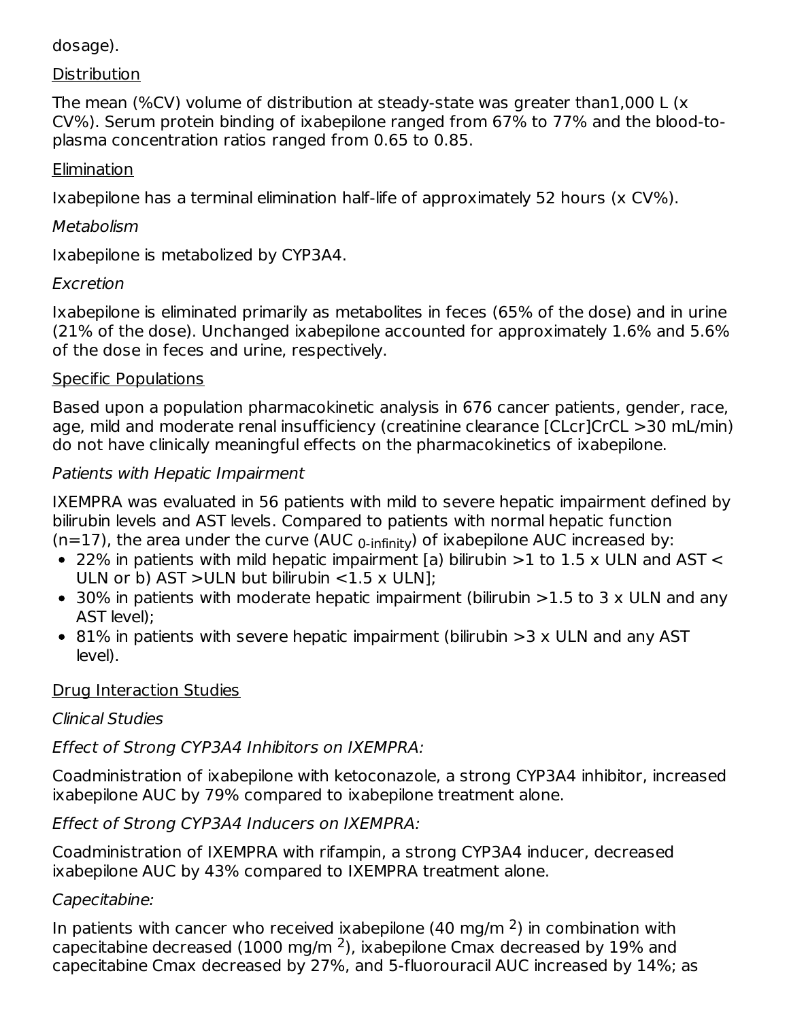#### dosage).

#### **Distribution**

The mean (%CV) volume of distribution at steady-state was greater than1,000 L (x CV%). Serum protein binding of ixabepilone ranged from 67% to 77% and the blood-toplasma concentration ratios ranged from 0.65 to 0.85.

#### **Elimination**

Ixabepilone has a terminal elimination half-life of approximately 52 hours (x CV%).

#### **Metabolism**

Ixabepilone is metabolized by CYP3A4.

# **Excretion**

Ixabepilone is eliminated primarily as metabolites in feces (65% of the dose) and in urine (21% of the dose). Unchanged ixabepilone accounted for approximately 1.6% and 5.6% of the dose in feces and urine, respectively.

#### Specific Populations

Based upon a population pharmacokinetic analysis in 676 cancer patients, gender, race, age, mild and moderate renal insufficiency (creatinine clearance [CLcr]CrCL >30 mL/min) do not have clinically meaningful effects on the pharmacokinetics of ixabepilone.

#### Patients with Hepatic Impairment

IXEMPRA was evaluated in 56 patients with mild to severe hepatic impairment defined by bilirubin levels and AST levels. Compared to patients with normal hepatic function (n=17), the area under the curve (AUC  $_{0\text{-infinity}}$ ) of ixabepilone AUC increased by:

- 22% in patients with mild hepatic impairment [a) bilirubin  $>$ 1 to 1.5 x ULN and AST  $<$ ULN or b) AST >ULN but bilirubin <1.5 x ULN];
- 30% in patients with moderate hepatic impairment (bilirubin >1.5 to 3 x ULN and any AST level);
- 81% in patients with severe hepatic impairment (bilirubin >3 x ULN and any AST level).

# Drug Interaction Studies

# Clinical Studies

# Effect of Strong CYP3A4 Inhibitors on IXEMPRA:

Coadministration of ixabepilone with ketoconazole, a strong CYP3A4 inhibitor, increased ixabepilone AUC by 79% compared to ixabepilone treatment alone.

Effect of Strong CYP3A4 Inducers on IXEMPRA:

Coadministration of IXEMPRA with rifampin, a strong CYP3A4 inducer, decreased ixabepilone AUC by 43% compared to IXEMPRA treatment alone.

# Capecitabine:

In patients with cancer who received ixabepilone (40 mg/m  $2$ ) in combination with capecitabine decreased (1000 mg/m  $^2$ ), ixabepilone Cmax decreased by 19% and capecitabine Cmax decreased by 27%, and 5-fluorouracil AUC increased by 14%; as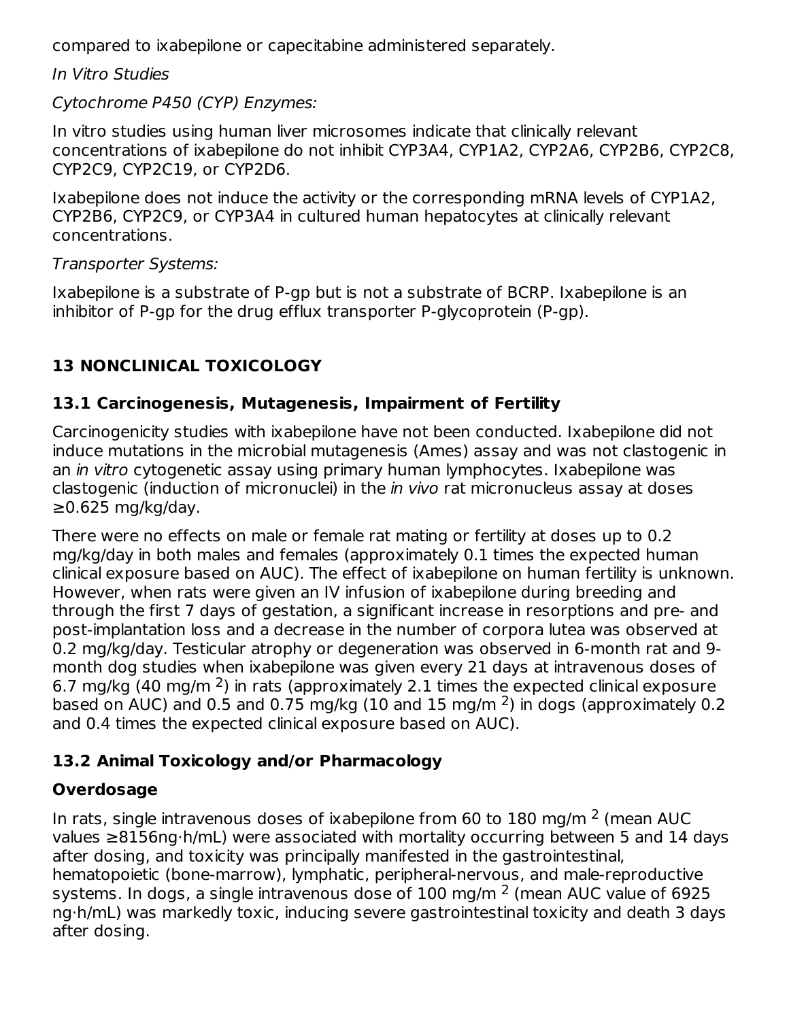compared to ixabepilone or capecitabine administered separately.

In Vitro Studies

Cytochrome P450 (CYP) Enzymes:

In vitro studies using human liver microsomes indicate that clinically relevant concentrations of ixabepilone do not inhibit CYP3A4, CYP1A2, CYP2A6, CYP2B6, CYP2C8, CYP2C9, CYP2C19, or CYP2D6.

Ixabepilone does not induce the activity or the corresponding mRNA levels of CYP1A2, CYP2B6, CYP2C9, or CYP3A4 in cultured human hepatocytes at clinically relevant concentrations.

# Transporter Systems:

Ixabepilone is a substrate of P-gp but is not a substrate of BCRP. Ixabepilone is an inhibitor of P-gp for the drug efflux transporter P‑glycoprotein (P-gp).

# **13 NONCLINICAL TOXICOLOGY**

# **13.1 Carcinogenesis, Mutagenesis, Impairment of Fertility**

Carcinogenicity studies with ixabepilone have not been conducted. Ixabepilone did not induce mutations in the microbial mutagenesis (Ames) assay and was not clastogenic in an in vitro cytogenetic assay using primary human lymphocytes. Ixabepilone was clastogenic (induction of micronuclei) in the *in vivo* rat micronucleus assay at doses  $≥0.625$  mg/kg/day.

There were no effects on male or female rat mating or fertility at doses up to 0.2 mg/kg/day in both males and females (approximately 0.1 times the expected human clinical exposure based on AUC). The effect of ixabepilone on human fertility is unknown. However, when rats were given an IV infusion of ixabepilone during breeding and through the first 7 days of gestation, a significant increase in resorptions and pre- and post-implantation loss and a decrease in the number of corpora lutea was observed at 0.2 mg/kg/day. Testicular atrophy or degeneration was observed in 6-month rat and 9 month dog studies when ixabepilone was given every 21 days at intravenous doses of 6.7 mg/kg (40 mg/m  $^2$ ) in rats (approximately 2.1 times the expected clinical exposure based on AUC) and 0.5 and 0.75 mg/kg (10 and 15 mg/m  $2$ ) in dogs (approximately 0.2 and 0.4 times the expected clinical exposure based on AUC).

# **13.2 Animal Toxicology and/or Pharmacology**

# **Overdosage**

In rats, single intravenous doses of ixabepilone from 60 to 180 mg/m  $^2$  (mean AUC values ≥8156ng·h/mL) were associated with mortality occurring between 5 and 14 days after dosing, and toxicity was principally manifested in the gastrointestinal, hematopoietic (bone-marrow), lymphatic, peripheral-nervous, and male-reproductive systems. In dogs, a single intravenous dose of  $100$  mg/m  $^2$  (mean AUC value of 6925 ng·h/mL) was markedly toxic, inducing severe gastrointestinal toxicity and death 3 days after dosing.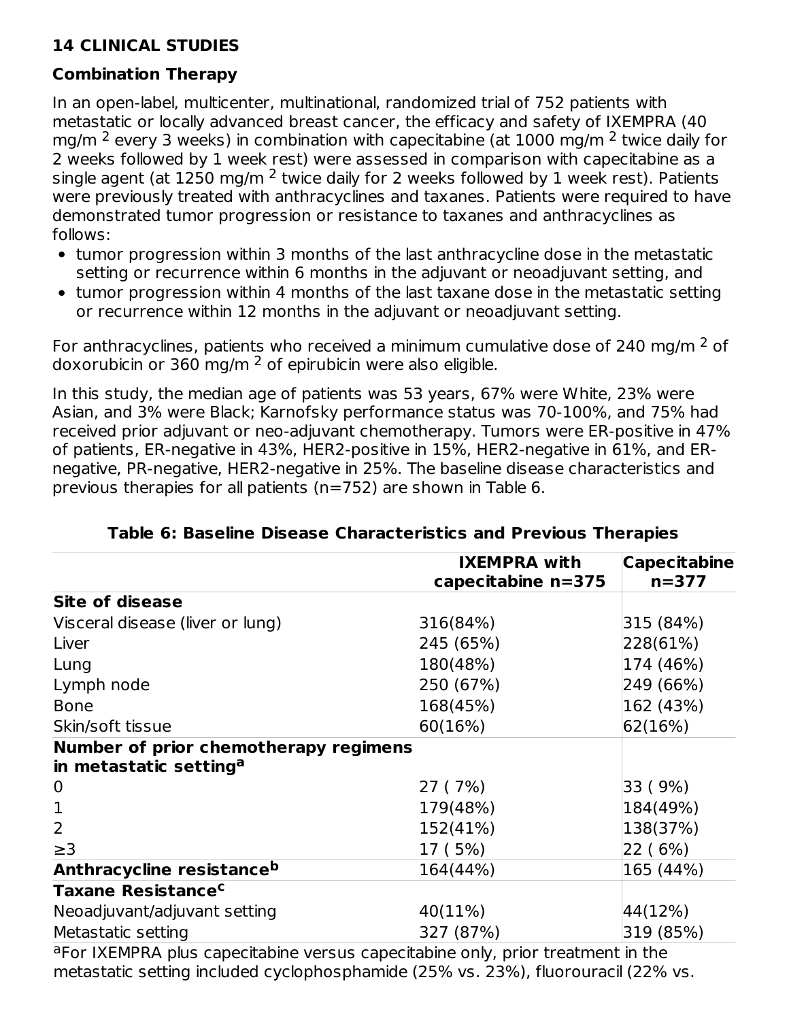# **14 CLINICAL STUDIES**

# **Combination Therapy**

In an open-label, multicenter, multinational, randomized trial of 752 patients with metastatic or locally advanced breast cancer, the efficacy and safety of IXEMPRA (40 mg/m  $^2$  every 3 weeks) in combination with capecitabine (at 1000 mg/m  $^2$  twice daily for 2 weeks followed by 1 week rest) were assessed in comparison with capecitabine as a single agent (at  $1250$  mg/m  $^2$  twice daily for 2 weeks followed by 1 week rest). Patients were previously treated with anthracyclines and taxanes. Patients were required to have demonstrated tumor progression or resistance to taxanes and anthracyclines as follows:

- tumor progression within 3 months of the last anthracycline dose in the metastatic setting or recurrence within 6 months in the adjuvant or neoadjuvant setting, and
- tumor progression within 4 months of the last taxane dose in the metastatic setting or recurrence within 12 months in the adjuvant or neoadjuvant setting.

For anthracyclines, patients who received a minimum cumulative dose of 240 mg/m  $^2$  of doxorubicin or 360 mg/m  $^2$  of epirubicin were also eligible.

In this study, the median age of patients was 53 years, 67% were White, 23% were Asian, and 3% were Black; Karnofsky performance status was 70-100%, and 75% had received prior adjuvant or neo-adjuvant chemotherapy. Tumors were ER-positive in 47% of patients, ER-negative in 43%, HER2-positive in 15%, HER2-negative in 61%, and ERnegative, PR-negative, HER2-negative in 25%. The baseline disease characteristics and previous therapies for all patients (n=752) are shown in Table 6.

| <b>IXEMPRA with</b><br>capecitabine n=375 | <b>Capecitabine</b><br>$n = 377$ |
|-------------------------------------------|----------------------------------|
|                                           |                                  |
| 316(84%)                                  | 315 (84%)                        |
| 245 (65%)                                 | 228(61%)                         |
| 180(48%)                                  | 174 (46%)                        |
| 250 (67%)                                 | 249 (66%)                        |
| 168(45%)                                  | 162 (43%)                        |
| 60(16%)                                   | 62(16%)                          |
| Number of prior chemotherapy regimens     |                                  |
| 27 (7%)                                   | 33 (9%)                          |
| 179(48%)                                  | 184(49%)                         |
| 152(41%)                                  | 138(37%)                         |
| 17 (5%)                                   | 22 ( 6%)                         |
| 164(44%)                                  | 165 (44%)                        |
|                                           |                                  |
| 40(11%)                                   | $ 44(12\%) $                     |
| 327 (87%)                                 | 319 (85%)                        |
|                                           |                                  |

#### **Table 6: Baseline Disease Characteristics and Previous Therapies**

<sup>a</sup>For IXEMPRA plus capecitabine versus capecitabine only, prior treatment in the metastatic setting included cyclophosphamide (25% vs. 23%), fluorouracil (22% vs.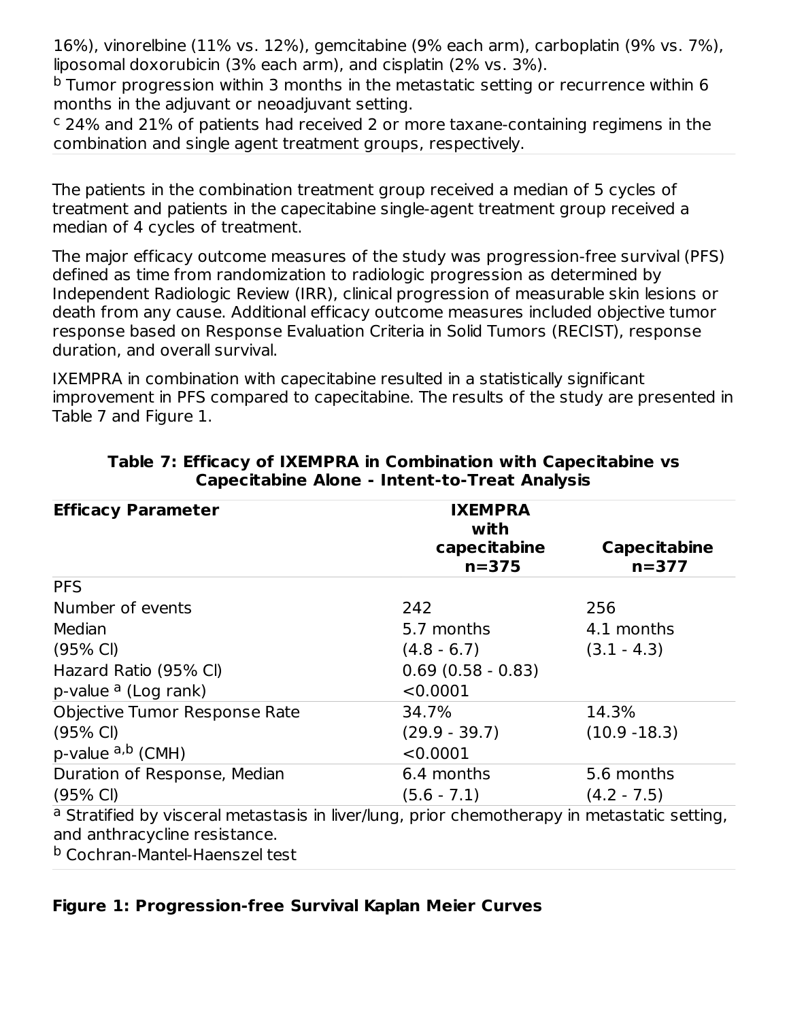16%), vinorelbine (11% vs. 12%), gemcitabine (9% each arm), carboplatin (9% vs. 7%), liposomal doxorubicin (3% each arm), and cisplatin (2% vs. 3%).

 $^{\rm b}$  Tumor progression within 3 months in the metastatic setting or recurrence within 6 months in the adjuvant or neoadjuvant setting.

 $c$  24% and 21% of patients had received 2 or more taxane-containing regimens in the combination and single agent treatment groups, respectively.

The patients in the combination treatment group received a median of 5 cycles of treatment and patients in the capecitabine single-agent treatment group received a median of 4 cycles of treatment.

The major efficacy outcome measures of the study was progression-free survival (PFS) defined as time from randomization to radiologic progression as determined by Independent Radiologic Review (IRR), clinical progression of measurable skin lesions or death from any cause. Additional efficacy outcome measures included objective tumor response based on Response Evaluation Criteria in Solid Tumors (RECIST), response duration, and overall survival.

IXEMPRA in combination with capecitabine resulted in a statistically significant improvement in PFS compared to capecitabine. The results of the study are presented in Table 7 and Figure 1.

| <b>Efficacy Parameter</b>                                                                                                     | <b>IXEMPRA</b><br>with    |                                  |
|-------------------------------------------------------------------------------------------------------------------------------|---------------------------|----------------------------------|
|                                                                                                                               | capecitabine<br>$n = 375$ | <b>Capecitabine</b><br>$n = 377$ |
| <b>PFS</b>                                                                                                                    |                           |                                  |
| Number of events                                                                                                              | 242                       | 256                              |
| Median                                                                                                                        | 5.7 months                | 4.1 months                       |
| $(95% \text{ Cl})$                                                                                                            | $(4.8 - 6.7)$             | $(3.1 - 4.3)$                    |
| Hazard Ratio (95% CI)                                                                                                         | $0.69(0.58 - 0.83)$       |                                  |
| p-value <sup>a</sup> (Log rank)                                                                                               | < 0.0001                  |                                  |
| Objective Tumor Response Rate                                                                                                 | 34.7%                     | 14.3%                            |
| $(95% \text{ Cl})$                                                                                                            | $(29.9 - 39.7)$           | $(10.9 - 18.3)$                  |
| p-value $a,b$ (CMH)                                                                                                           | < 0.0001                  |                                  |
| Duration of Response, Median                                                                                                  | 6.4 months                | 5.6 months                       |
| $(95% \text{ Cl})$                                                                                                            | $(5.6 - 7.1)$             | $(4.2 - 7.5)$                    |
| a Stratified by visceral metastasis in liver/lung, prior chemotherapy in metastatic setting,<br>and anthracycline resistance. |                           |                                  |

#### **Table 7: Efficacy of IXEMPRA in Combination with Capecitabine vs Capecitabine Alone - Intent-to-Treat Analysis**

and anthracycline resistance.

<sup>b</sup> Cochran-Mantel-Haenszel test

#### **Figure 1: Progression-free Survival Kaplan Meier Curves**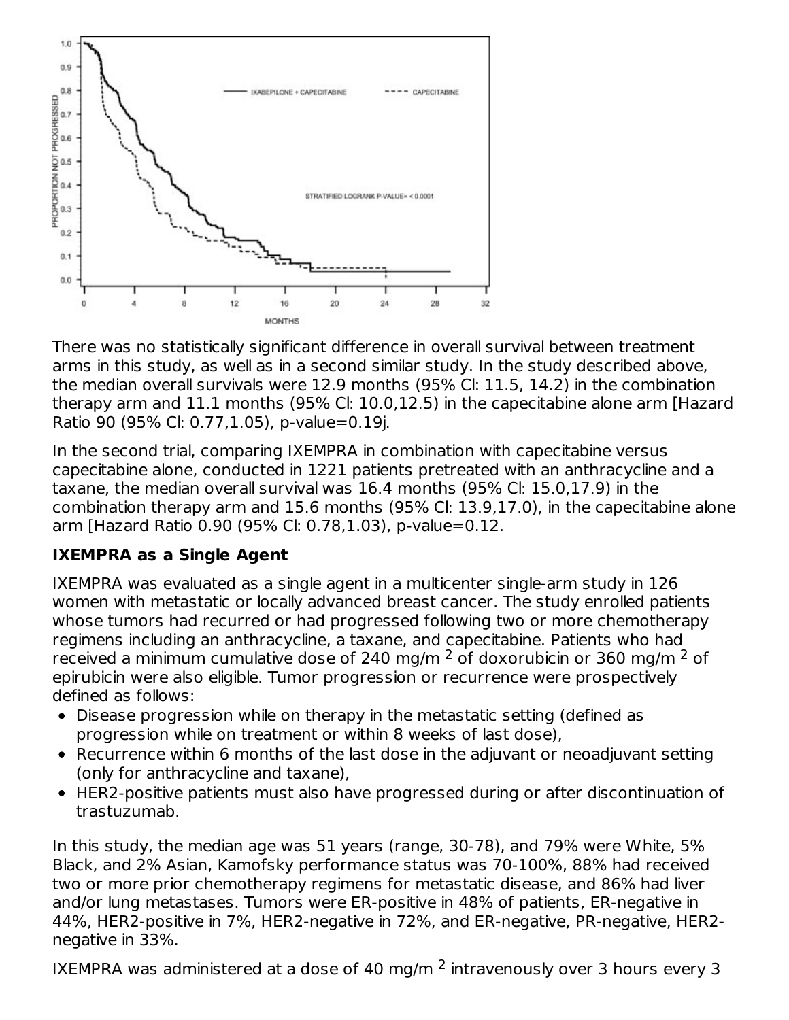

There was no statistically significant difference in overall survival between treatment arms in this study, as well as in a second similar study. In the study described above, the median overall survivals were 12.9 months (95% Cl: 11.5, 14.2) in the combination therapy arm and 11.1 months (95% Cl: 10.0,12.5) in the capecitabine alone arm [Hazard Ratio 90 (95% Cl: 0.77,1.05), p-value=0.19j.

In the second trial, comparing IXEMPRA in combination with capecitabine versus capecitabine alone, conducted in 1221 patients pretreated with an anthracycline and a taxane, the median overall survival was 16.4 months (95% Cl: 15.0,17.9) in the combination therapy arm and 15.6 months (95% Cl: 13.9,17.0), in the capecitabine alone arm [Hazard Ratio 0.90 (95% Cl: 0.78,1.03), p-value=0.12.

# **IXEMPRA as a Single Agent**

IXEMPRA was evaluated as a single agent in a multicenter single-arm study in 126 women with metastatic or locally advanced breast cancer. The study enrolled patients whose tumors had recurred or had progressed following two or more chemotherapy regimens including an anthracycline, a taxane, and capecitabine. Patients who had received a minimum cumulative dose of 240 mg/m  $^2$  of doxorubicin or 360 mg/m  $^2$  of epirubicin were also eligible. Tumor progression or recurrence were prospectively defined as follows:

- Disease progression while on therapy in the metastatic setting (defined as progression while on treatment or within 8 weeks of last dose),
- Recurrence within 6 months of the last dose in the adjuvant or neoadjuvant setting (only for anthracycline and taxane),
- HER2-positive patients must also have progressed during or after discontinuation of trastuzumab.

In this study, the median age was 51 years (range, 30-78), and 79% were White, 5% Black, and 2% Asian, Kamofsky performance status was 70-100%, 88% had received two or more prior chemotherapy regimens for metastatic disease, and 86% had liver and/or lung metastases. Tumors were ER-positive in 48% of patients, ER-negative in 44%, HER2-positive in 7%, HER2-negative in 72%, and ER-negative, PR-negative, HER2 negative in 33%.

IXEMPRA was administered at a dose of 40 mg/m  $^2$  intravenously over 3 hours every 3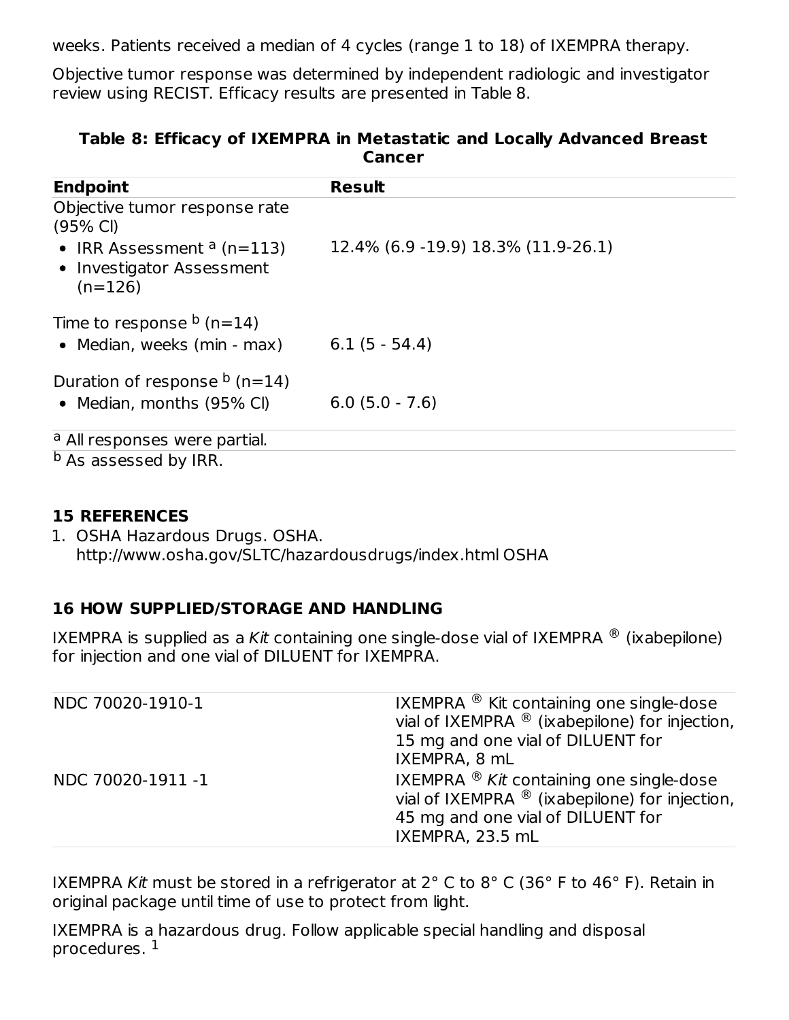weeks. Patients received a median of 4 cycles (range 1 to 18) of IXEMPRA therapy.

Objective tumor response was determined by independent radiologic and investigator review using RECIST. Efficacy results are presented in Table 8.

| Cancer                                                                                                                       |                                      |  |  |  |  |
|------------------------------------------------------------------------------------------------------------------------------|--------------------------------------|--|--|--|--|
| <b>Endpoint</b>                                                                                                              | <b>Result</b>                        |  |  |  |  |
| Objective tumor response rate<br>$(95% \text{ Cl})$<br>• IRR Assessment $a(n=113)$<br>• Investigator Assessment<br>$(n=126)$ | 12.4% (6.9 - 19.9) 18.3% (11.9-26.1) |  |  |  |  |
| Time to response $b$ (n=14)<br>• Median, weeks (min - max)                                                                   | $6.1(5 - 54.4)$                      |  |  |  |  |
| Duration of response $\frac{b}{n}$ (n=14)<br>• Median, months (95% CI)                                                       | $6.0$ $(5.0 - 7.6)$                  |  |  |  |  |
| <sup>a</sup> All responses were partial.                                                                                     |                                      |  |  |  |  |
| <sup>b</sup> As assessed by IRR.                                                                                             |                                      |  |  |  |  |

# **Table 8: Efficacy of IXEMPRA in Metastatic and Locally Advanced Breast Cancer**

#### **15 REFERENCES**

1. OSHA Hazardous Drugs. OSHA. http://www.osha.gov/SLTC/hazardousdrugs/index.html OSHA

#### **16 HOW SUPPLIED/STORAGE AND HANDLING**

IXEMPRA is supplied as a Kit containing one single-dose vial of IXEMPRA  $^\circledR$  (ixabepilone) for injection and one vial of DILUENT for IXEMPRA.

| NDC 70020-1910-1  | IXEMPRA ® Kit containing one single-dose<br>vial of IXEMPRA $\mathcal{B}$ (ixabepilone) for injection,<br>15 mg and one vial of DILUENT for<br>IXEMPRA, 8 mL                |
|-------------------|-----------------------------------------------------------------------------------------------------------------------------------------------------------------------------|
| NDC 70020-1911 -1 | IXEMPRA $\mathcal{B}$ Kit containing one single-dose<br>vial of IXEMPRA $\mathcal{B}$ (ixabepilone) for injection,<br>45 mg and one vial of DILUENT for<br>IXEMPRA, 23.5 mL |

IXEMPRA Kit must be stored in a refrigerator at  $2^{\circ}$  C to  $8^{\circ}$  C (36° F to 46° F). Retain in original package until time of use to protect from light.

IXEMPRA is a hazardous drug. Follow applicable special handling and disposal procedures. 1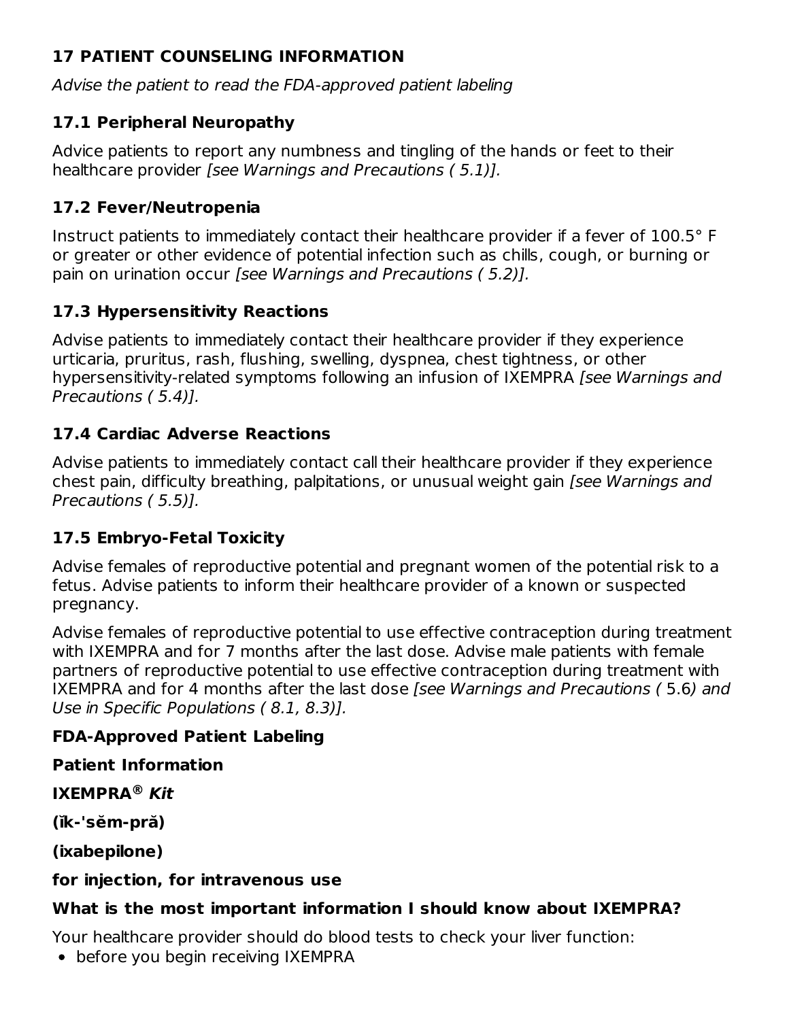# **17 PATIENT COUNSELING INFORMATION**

Advise the patient to read the FDA-approved patient labeling

# **17.1 Peripheral Neuropathy**

Advice patients to report any numbness and tingling of the hands or feet to their healthcare provider [see Warnings and Precautions (5.1)].

# **17.2 Fever/Neutropenia**

Instruct patients to immediately contact their healthcare provider if a fever of 100.5° F or greater or other evidence of potential infection such as chills, cough, or burning or pain on urination occur [see Warnings and Precautions ( 5.2)].

# **17.3 Hypersensitivity Reactions**

Advise patients to immediately contact their healthcare provider if they experience urticaria, pruritus, rash, flushing, swelling, dyspnea, chest tightness, or other hypersensitivity-related symptoms following an infusion of IXEMPRA *[see Warnings and* Precautions ( 5.4)].

# **17.4 Cardiac Adverse Reactions**

Advise patients to immediately contact call their healthcare provider if they experience chest pain, difficulty breathing, palpitations, or unusual weight gain [see Warnings and Precautions ( 5.5)].

# **17.5 Embryo-Fetal Toxicity**

Advise females of reproductive potential and pregnant women of the potential risk to a fetus. Advise patients to inform their healthcare provider of a known or suspected pregnancy.

Advise females of reproductive potential to use effective contraception during treatment with IXEMPRA and for 7 months after the last dose. Advise male patients with female partners of reproductive potential to use effective contraception during treatment with IXEMPRA and for 4 months after the last dose [see Warnings and Precautions (5.6) and Use in Specific Populations ( 8.1, 8.3)].

# **FDA-Approved Patient Labeling**

# **Patient Information**

**IXEMPRA Kit ®**

**(ĭk-'sĕm-pră)**

**(ixabepilone)**

# **for injection, for intravenous use**

# **What is the most important information I should know about IXEMPRA?**

Your healthcare provider should do blood tests to check your liver function:

• before you begin receiving IXEMPRA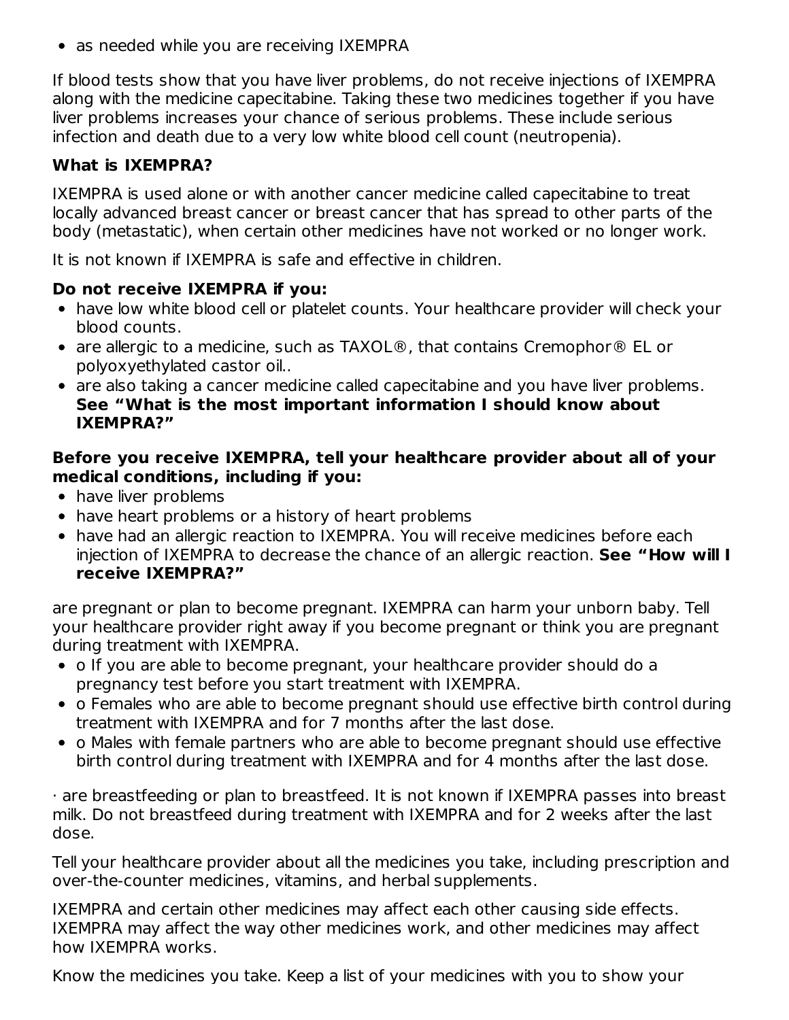• as needed while you are receiving IXEMPRA

If blood tests show that you have liver problems, do not receive injections of IXEMPRA along with the medicine capecitabine. Taking these two medicines together if you have liver problems increases your chance of serious problems. These include serious infection and death due to a very low white blood cell count (neutropenia).

# **What is IXEMPRA?**

IXEMPRA is used alone or with another cancer medicine called capecitabine to treat locally advanced breast cancer or breast cancer that has spread to other parts of the body (metastatic), when certain other medicines have not worked or no longer work.

It is not known if IXEMPRA is safe and effective in children.

#### **Do not receive IXEMPRA if you:**

- have low white blood cell or platelet counts. Your healthcare provider will check your blood counts.
- are allergic to a medicine, such as TAXOL®, that contains Cremophor® EL or polyoxyethylated castor oil..
- are also taking a cancer medicine called capecitabine and you have liver problems. **See "What is the most important information I should know about IXEMPRA?"**

#### **Before you receive IXEMPRA, tell your healthcare provider about all of your medical conditions, including if you:**

- have liver problems
- have heart problems or a history of heart problems
- have had an allergic reaction to IXEMPRA. You will receive medicines before each injection of IXEMPRA to decrease the chance of an allergic reaction. **See "How will I receive IXEMPRA?"**

are pregnant or plan to become pregnant. IXEMPRA can harm your unborn baby. Tell your healthcare provider right away if you become pregnant or think you are pregnant during treatment with IXEMPRA.

- o If you are able to become pregnant, your healthcare provider should do a pregnancy test before you start treatment with IXEMPRA.
- o Females who are able to become pregnant should use effective birth control during treatment with IXEMPRA and for 7 months after the last dose.
- o Males with female partners who are able to become pregnant should use effective birth control during treatment with IXEMPRA and for 4 months after the last dose.

· are breastfeeding or plan to breastfeed. It is not known if IXEMPRA passes into breast milk. Do not breastfeed during treatment with IXEMPRA and for 2 weeks after the last dose.

Tell your healthcare provider about all the medicines you take, including prescription and over-the-counter medicines, vitamins, and herbal supplements.

IXEMPRA and certain other medicines may affect each other causing side effects. IXEMPRA may affect the way other medicines work, and other medicines may affect how IXEMPRA works.

Know the medicines you take. Keep a list of your medicines with you to show your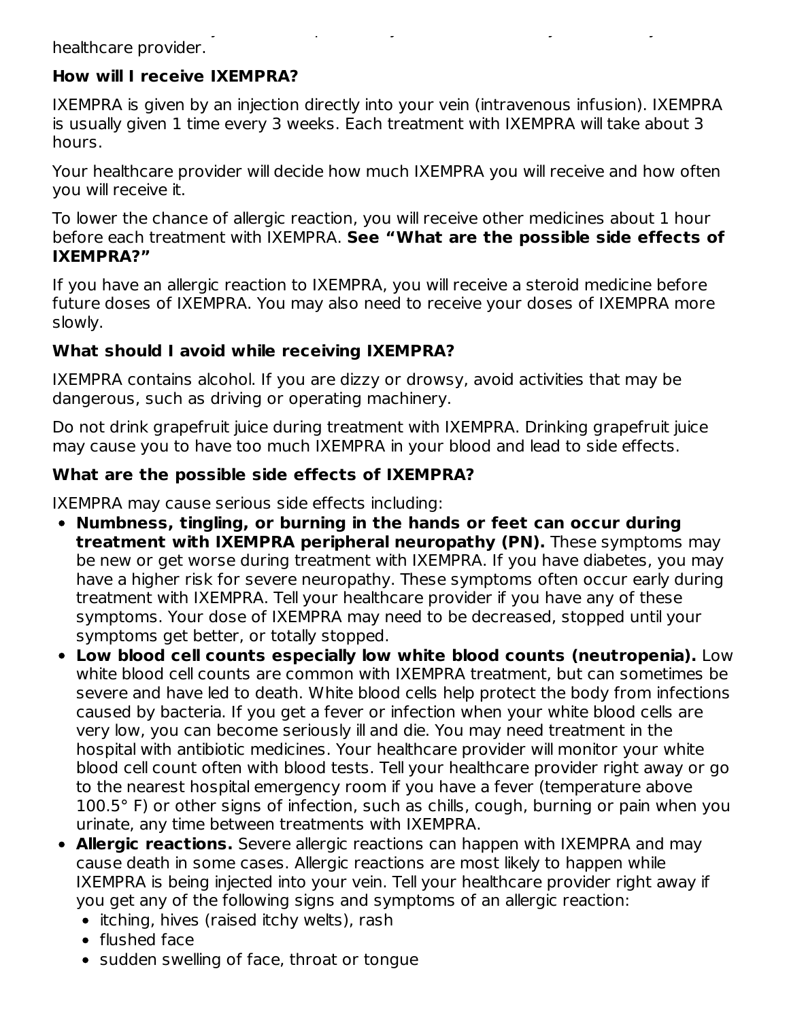Know the medicines you take. Keep a list of your medicines with you to show your healthcare provider.

# **How will I receive IXEMPRA?**

IXEMPRA is given by an injection directly into your vein (intravenous infusion). IXEMPRA is usually given 1 time every 3 weeks. Each treatment with IXEMPRA will take about 3 hours.

Your healthcare provider will decide how much IXEMPRA you will receive and how often you will receive it.

To lower the chance of allergic reaction, you will receive other medicines about 1 hour before each treatment with IXEMPRA. **See "What are the possible side effects of IXEMPRA?"**

If you have an allergic reaction to IXEMPRA, you will receive a steroid medicine before future doses of IXEMPRA. You may also need to receive your doses of IXEMPRA more slowly.

# **What should I avoid while receiving IXEMPRA?**

IXEMPRA contains alcohol. If you are dizzy or drowsy, avoid activities that may be dangerous, such as driving or operating machinery.

Do not drink grapefruit juice during treatment with IXEMPRA. Drinking grapefruit juice may cause you to have too much IXEMPRA in your blood and lead to side effects.

# **What are the possible side effects of IXEMPRA?**

IXEMPRA may cause serious side effects including:

- **Numbness, tingling, or burning in the hands or feet can occur during treatment with IXEMPRA peripheral neuropathy (PN).** These symptoms may be new or get worse during treatment with IXEMPRA. If you have diabetes, you may have a higher risk for severe neuropathy. These symptoms often occur early during treatment with IXEMPRA. Tell your healthcare provider if you have any of these symptoms. Your dose of IXEMPRA may need to be decreased, stopped until your symptoms get better, or totally stopped.
- **Low blood cell counts especially low white blood counts (neutropenia).** Low white blood cell counts are common with IXEMPRA treatment, but can sometimes be severe and have led to death. White blood cells help protect the body from infections caused by bacteria. If you get a fever or infection when your white blood cells are very low, you can become seriously ill and die. You may need treatment in the hospital with antibiotic medicines. Your healthcare provider will monitor your white blood cell count often with blood tests. Tell your healthcare provider right away or go to the nearest hospital emergency room if you have a fever (temperature above 100.5° F) or other signs of infection, such as chills, cough, burning or pain when you urinate, any time between treatments with IXEMPRA.
- **Allergic reactions.** Severe allergic reactions can happen with IXEMPRA and may cause death in some cases. Allergic reactions are most likely to happen while IXEMPRA is being injected into your vein. Tell your healthcare provider right away if you get any of the following signs and symptoms of an allergic reaction:
	- $\bullet$  itching, hives (raised itchy welts), rash
	- flushed face
	- sudden swelling of face, throat or tongue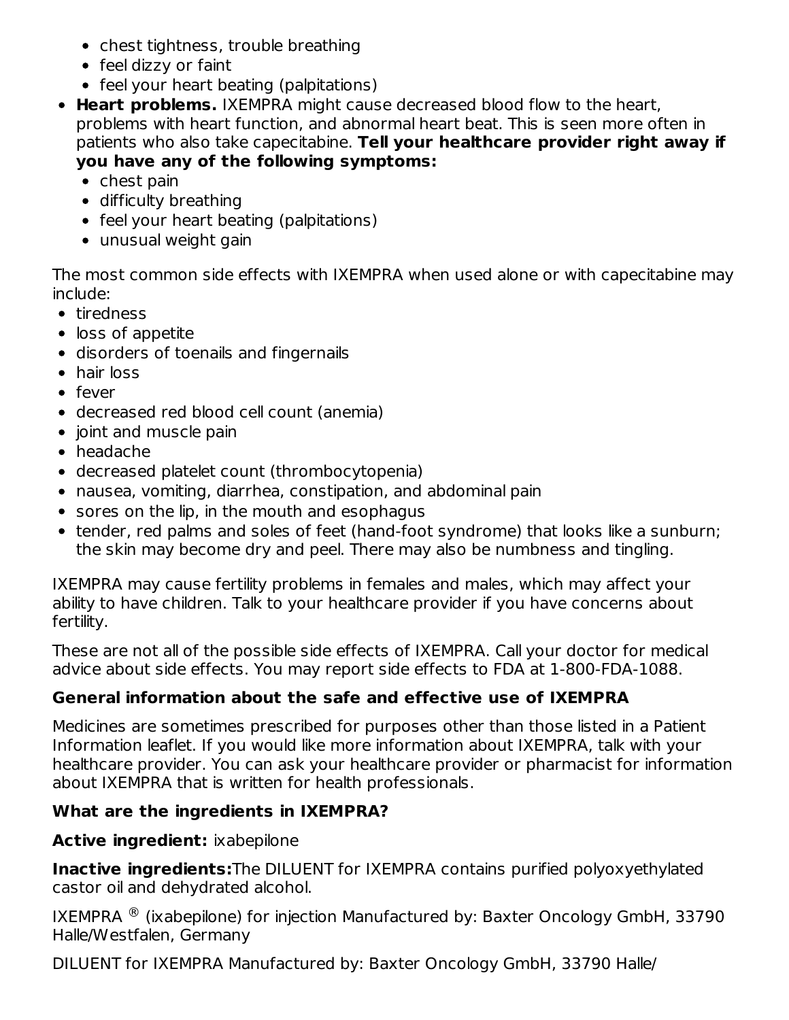- chest tightness, trouble breathing
- feel dizzy or faint
- feel your heart beating (palpitations)
- **Heart problems.** IXEMPRA might cause decreased blood flow to the heart, problems with heart function, and abnormal heart beat. This is seen more often in patients who also take capecitabine. **Tell your healthcare provider right away if you have any of the following symptoms:**
	- $\bullet$  chest pain
	- difficulty breathing
	- feel your heart beating (palpitations)
	- unusual weight gain

The most common side effects with IXEMPRA when used alone or with capecitabine may include:

- tiredness
- loss of appetite
- disorders of toenails and fingernails
- hair loss
- fever
- decreased red blood cell count (anemia)
- joint and muscle pain
- headache
- decreased platelet count (thrombocytopenia)
- nausea, vomiting, diarrhea, constipation, and abdominal pain
- sores on the lip, in the mouth and esophagus
- tender, red palms and soles of feet (hand-foot syndrome) that looks like a sunburn; the skin may become dry and peel. There may also be numbness and tingling.

IXEMPRA may cause fertility problems in females and males, which may affect your ability to have children. Talk to your healthcare provider if you have concerns about fertility.

These are not all of the possible side effects of IXEMPRA. Call your doctor for medical advice about side effects. You may report side effects to FDA at 1-800-FDA-1088.

# **General information about the safe and effective use of IXEMPRA**

Medicines are sometimes prescribed for purposes other than those listed in a Patient Information leaflet. If you would like more information about IXEMPRA, talk with your healthcare provider. You can ask your healthcare provider or pharmacist for information about IXEMPRA that is written for health professionals.

# **What are the ingredients in IXEMPRA?**

# **Active ingredient:** ixabepilone

**Inactive ingredients:**The DILUENT for IXEMPRA contains purified polyoxyethylated castor oil and dehydrated alcohol.

IXEMPRA  $^{\circledR}$  (ixabepilone) for injection Manufactured by: Baxter Oncology GmbH, 33790 Halle/Westfalen, Germany

DILUENT for IXEMPRA Manufactured by: Baxter Oncology GmbH, 33790 Halle/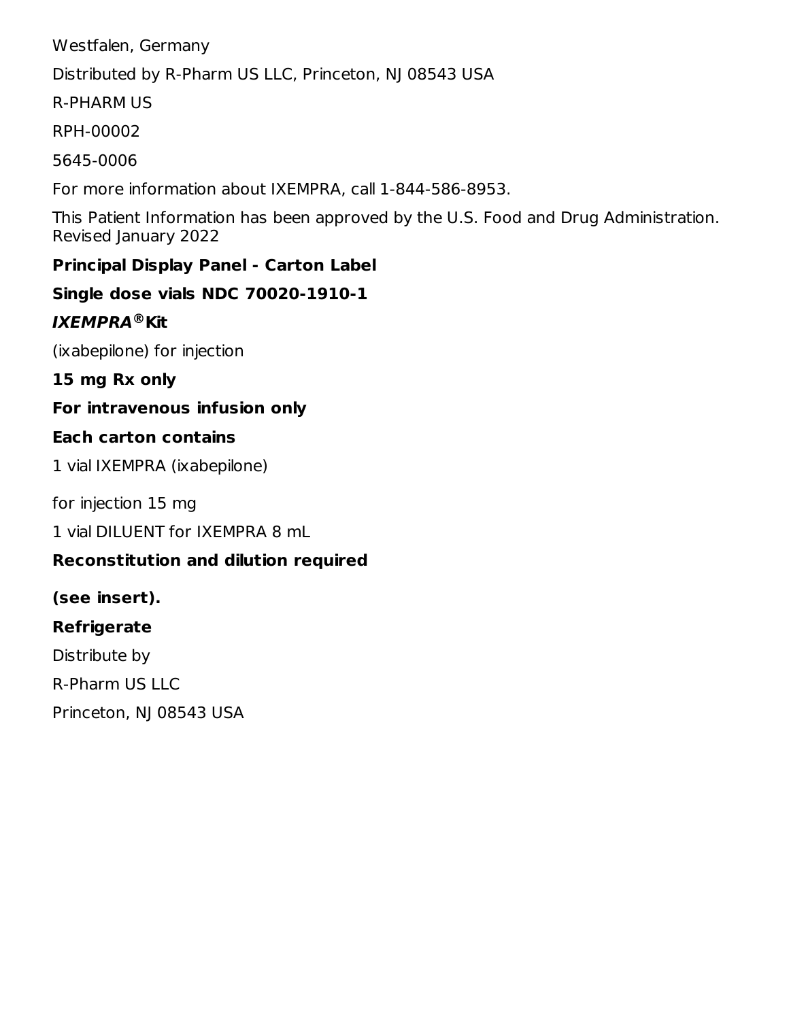Westfalen, Germany

Distributed by R-Pharm US LLC, Princeton, NJ 08543 USA

R-PHARM US

RPH-00002

5645-0006

For more information about IXEMPRA, call 1-844-586-8953.

This Patient Information has been approved by the U.S. Food and Drug Administration. Revised January 2022

# **Principal Display Panel - Carton Label**

**Single dose vials NDC 70020-1910-1**

# **IXEMPRA Kit ®**

(ixabepilone) for injection

**15 mg Rx only**

# **For intravenous infusion only**

# **Each carton contains**

1 vial IXEMPRA (ixabepilone)

for injection 15 mg

1 vial DILUENT for IXEMPRA 8 mL

# **Reconstitution and dilution required**

# **(see insert).**

# **Refrigerate**

Distribute by R-Pharm US LLC Princeton, NJ 08543 USA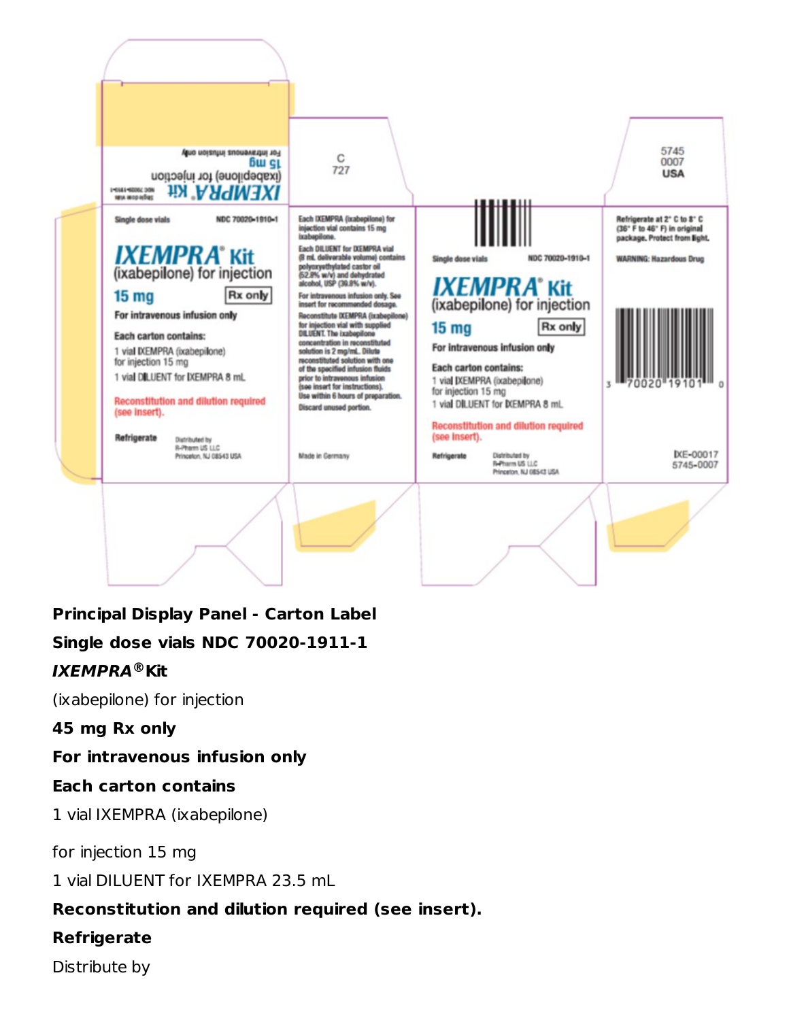

**Principal Display Panel - Carton Label Single dose vials NDC 70020-1911-1 IXEMPRA Kit ®**

(ixabepilone) for injection

**45 mg Rx only**

**For intravenous infusion only**

# **Each carton contains**

1 vial IXEMPRA (ixabepilone)

for injection 15 mg

1 vial DILUENT for IXEMPRA 23.5 mL

# **Reconstitution and dilution required (see insert).**

# **Refrigerate**

Distribute by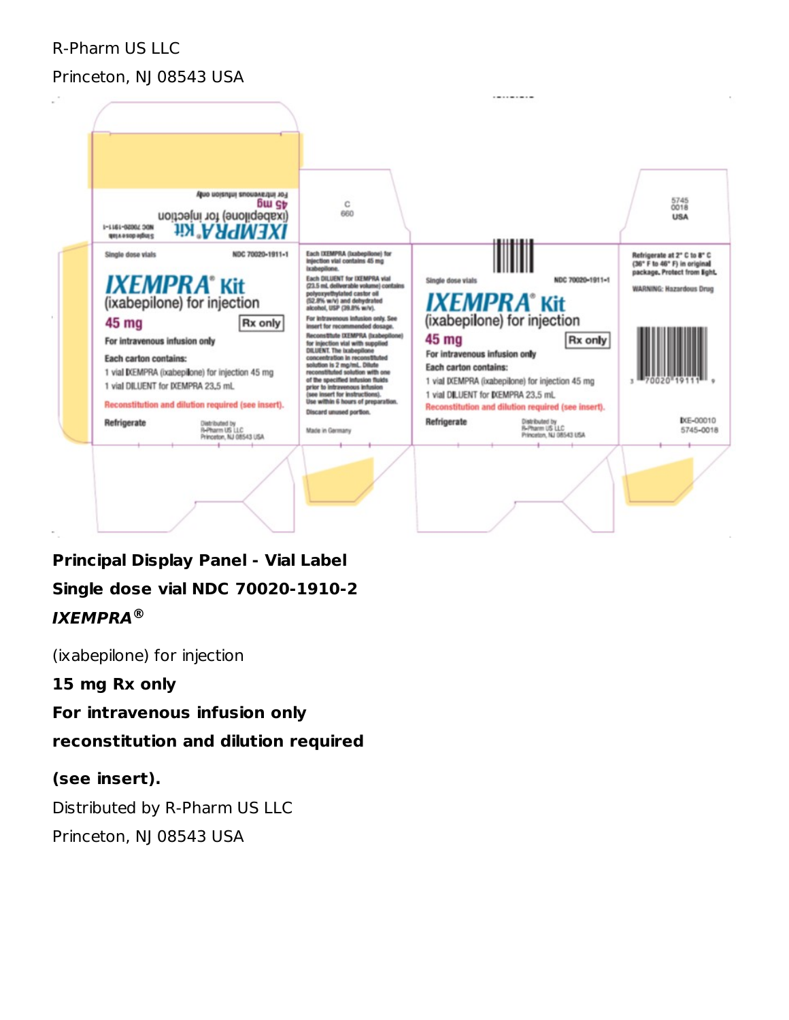R-Pharm US LLC

#### Princeton, NJ 08543 USA



**Principal Display Panel - Vial Label Single dose vial NDC 70020-1910-2 IXEMPRA ®**

(ixabepilone) for injection

**15 mg Rx only**

**For intravenous infusion only**

**reconstitution and dilution required**

#### **(see insert).**

Distributed by R-Pharm US LLC Princeton, NJ 08543 USA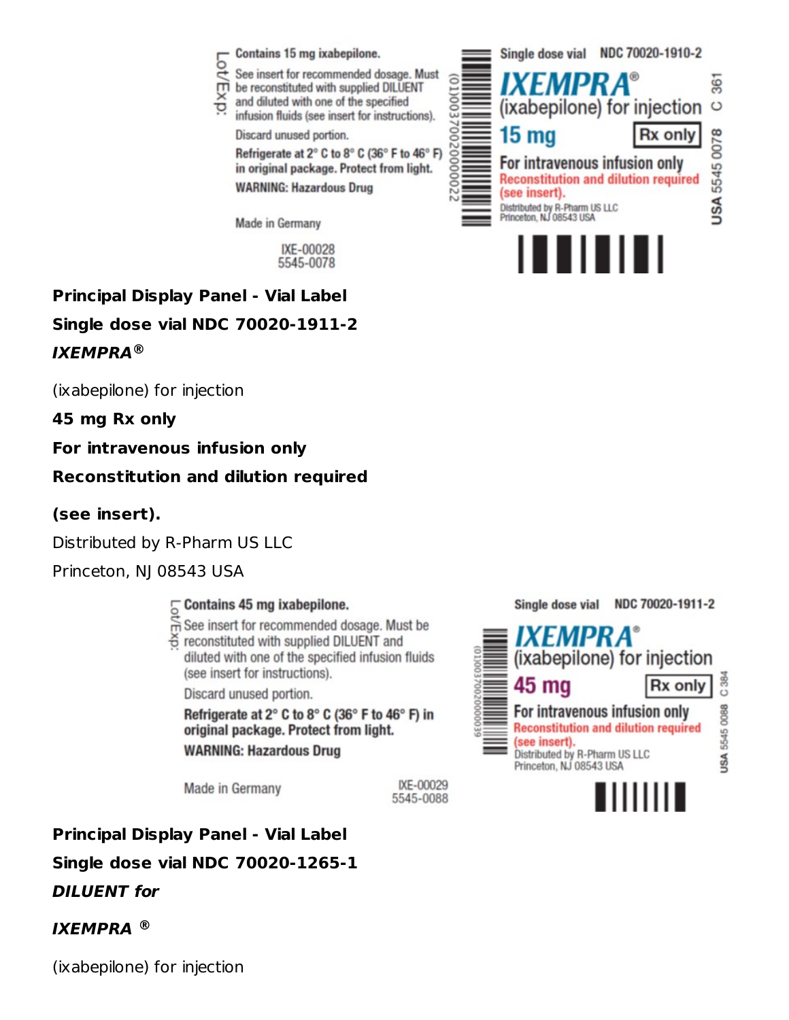

# **Principal Display Panel - Vial Label Single dose vial NDC 70020-1911-2 IXEMPRA ®**

(ixabepilone) for injection

**45 mg Rx only**

**For intravenous infusion only**

**Reconstitution and dilution required**

#### **(see insert).**

Distributed by R-Pharm US LLC

Princeton, NJ 08543 USA

# Contains 45 mg ixabepilone.

- $\sum_{n=0}^{\infty}$  Contains 45 mg ixabepilone.<br>  $\overline{m}$  See insert for recommended dosage. Must be
- S reconstituted with supplied DILUENT and diluted with one of the specified infusion fluids (see insert for instructions).

Discard unused portion.

Refrigerate at 2° C to 8° C (36° F to 46° F) in original package. Protect from light. **WARNING: Hazardous Drug** 

Made in Germany

IXE-00029 5545-0088

**Principal Display Panel - Vial Label Single dose vial NDC 70020-1265-1 DILUENT for**

# **IXEMPRA ®**

(ixabepilone) for injection

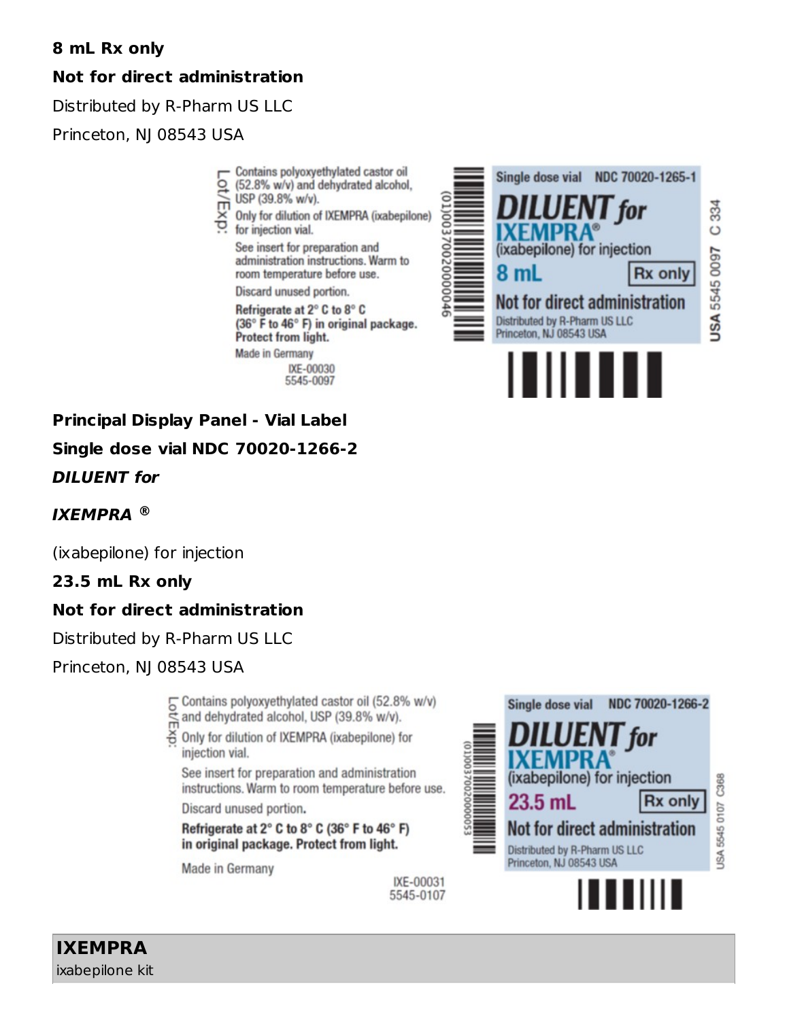# **8 mL Rx only**

# **Not for direct administration**

Distributed by R-Pharm US LLC

Princeton, NJ 08543 USA

- Contains polyoxyethylated castor oil
- ġ (52.8% w/v) and dehydrated alcohol, USP (39.8% w/v).
- ξx
- Only for dilution of IXEMPRA (ixabepilone) for injection vial.

See insert for preparation and administration instructions. Warm to room temperature before use.

Discard unused portion.

Refrigerate at 2° C to 8° C (36° F to 46° F) in original package. Protect from light.

**Made in Germany** 

IXE-00030 5545-0097



**Principal Display Panel - Vial Label Single dose vial NDC 70020-1266-2 DILUENT for**

# **IXEMPRA ®**

(ixabepilone) for injection

# **23.5 mL Rx only**

# **Not for direct administration**

Distributed by R-Pharm US LLC

Princeton, NJ 08543 USA

Contains polyoxyethylated castor oil (52.8% w/v) and dehydrated alcohol, USP (39.8% w/v).

Only for dilution of IXEMPRA (ixabepilone) for injection vial.

See insert for preparation and administration instructions. Warm to room temperature before use.

> IXE-00031 5545-0107

Discard unused portion.

Refrigerate at 2° C to 8° C (36° F to 46° F) in original package. Protect from light.

Made in Germany



C368 5545 0107 **JSA** 



for

**Rx only** 

**IXEMPRA** ixabepilone kit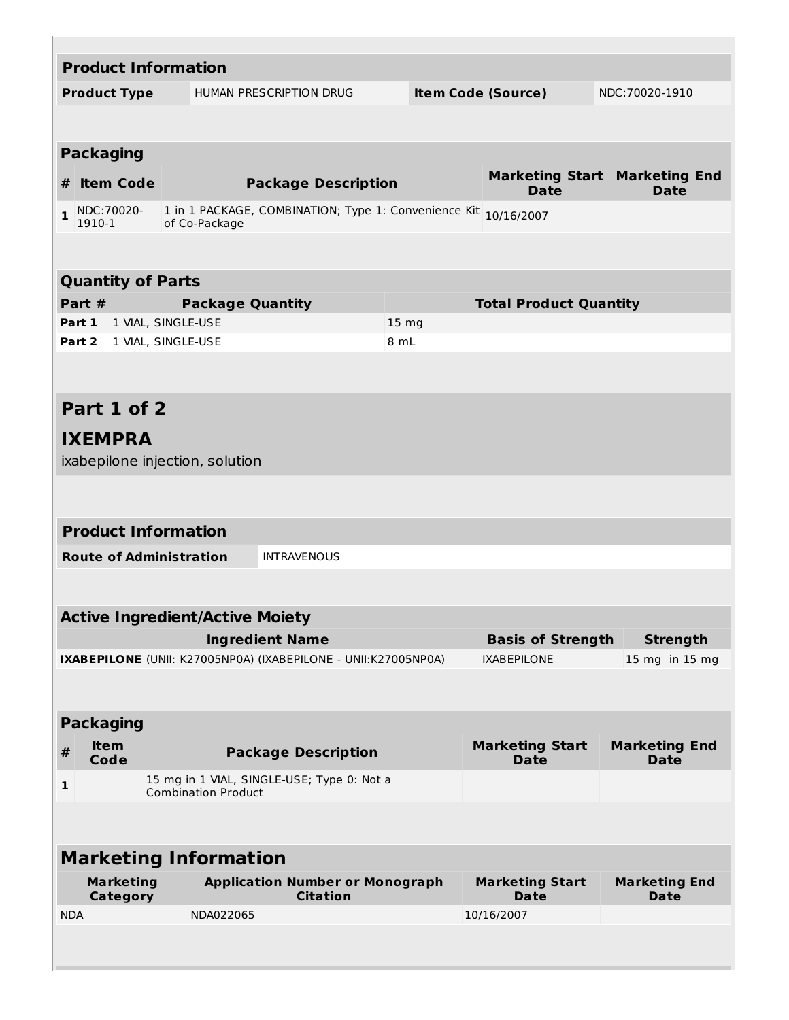| <b>Product Information</b>     |                                     |  |                                        |                                                                |       |                           |                                       |                                                       |
|--------------------------------|-------------------------------------|--|----------------------------------------|----------------------------------------------------------------|-------|---------------------------|---------------------------------------|-------------------------------------------------------|
| <b>Product Type</b>            |                                     |  |                                        | <b>HUMAN PRESCRIPTION DRUG</b>                                 |       | <b>Item Code (Source)</b> |                                       | NDC:70020-1910                                        |
|                                |                                     |  |                                        |                                                                |       |                           |                                       |                                                       |
|                                |                                     |  |                                        |                                                                |       |                           |                                       |                                                       |
| <b>Packaging</b>               |                                     |  |                                        |                                                                |       |                           |                                       |                                                       |
| # Item Code                    |                                     |  |                                        | <b>Package Description</b>                                     |       |                           | <b>Date</b>                           | <b>Marketing Start   Marketing End</b><br><b>Date</b> |
| $\mathbf{1}$<br>1910-1         | NDC:70020-                          |  | of Co-Package                          | 1 in 1 PACKAGE, COMBINATION; Type 1: Convenience Kit           |       |                           | 10/16/2007                            |                                                       |
|                                |                                     |  |                                        |                                                                |       |                           |                                       |                                                       |
|                                |                                     |  |                                        |                                                                |       |                           |                                       |                                                       |
| <b>Quantity of Parts</b>       |                                     |  |                                        |                                                                |       |                           |                                       |                                                       |
| Part #                         |                                     |  | <b>Package Quantity</b>                |                                                                |       |                           | <b>Total Product Quantity</b>         |                                                       |
| Part 1   1 VIAL, SINGLE-USE    |                                     |  |                                        |                                                                | 15 mg |                           |                                       |                                                       |
| Part 2 1 VIAL, SINGLE-USE      |                                     |  |                                        |                                                                | 8 mL  |                           |                                       |                                                       |
|                                |                                     |  |                                        |                                                                |       |                           |                                       |                                                       |
| Part 1 of 2                    |                                     |  |                                        |                                                                |       |                           |                                       |                                                       |
| <b>IXEMPRA</b>                 |                                     |  |                                        |                                                                |       |                           |                                       |                                                       |
|                                |                                     |  | ixabepilone injection, solution        |                                                                |       |                           |                                       |                                                       |
|                                |                                     |  |                                        |                                                                |       |                           |                                       |                                                       |
|                                |                                     |  |                                        |                                                                |       |                           |                                       |                                                       |
| <b>Product Information</b>     |                                     |  |                                        |                                                                |       |                           |                                       |                                                       |
| <b>Route of Administration</b> |                                     |  |                                        | <b>INTRAVENOUS</b>                                             |       |                           |                                       |                                                       |
|                                |                                     |  |                                        |                                                                |       |                           |                                       |                                                       |
|                                |                                     |  | <b>Active Ingredient/Active Moiety</b> |                                                                |       |                           |                                       |                                                       |
|                                |                                     |  |                                        | <b>Ingredient Name</b>                                         |       |                           | <b>Basis of Strength</b>              | <b>Strength</b>                                       |
|                                |                                     |  |                                        | IXABEPILONE (UNII: K27005NP0A) (IXABEPILONE - UNII:K27005NP0A) |       |                           | <b>IXABEPILONE</b>                    | 15 mg in 15 mg                                        |
|                                |                                     |  |                                        |                                                                |       |                           |                                       |                                                       |
| <b>Packaging</b>               |                                     |  |                                        |                                                                |       |                           |                                       |                                                       |
| #                              | <b>Item</b><br>Code                 |  |                                        | <b>Package Description</b>                                     |       |                           | <b>Marketing Start</b><br><b>Date</b> | <b>Marketing End</b><br><b>Date</b>                   |
| 1                              |                                     |  | <b>Combination Product</b>             | 15 mg in 1 VIAL, SINGLE-USE; Type 0: Not a                     |       |                           |                                       |                                                       |
|                                |                                     |  |                                        |                                                                |       |                           |                                       |                                                       |
|                                |                                     |  |                                        |                                                                |       |                           |                                       |                                                       |
| <b>Marketing Information</b>   |                                     |  |                                        |                                                                |       |                           |                                       |                                                       |
|                                | <b>Marketing</b><br><b>Category</b> |  |                                        | <b>Application Number or Monograph</b><br><b>Citation</b>      |       |                           | <b>Marketing Start</b><br>Date        | <b>Marketing End</b><br><b>Date</b>                   |
| <b>NDA</b>                     |                                     |  | NDA022065                              |                                                                |       |                           | 10/16/2007                            |                                                       |
|                                |                                     |  |                                        |                                                                |       |                           |                                       |                                                       |
|                                |                                     |  |                                        |                                                                |       |                           |                                       |                                                       |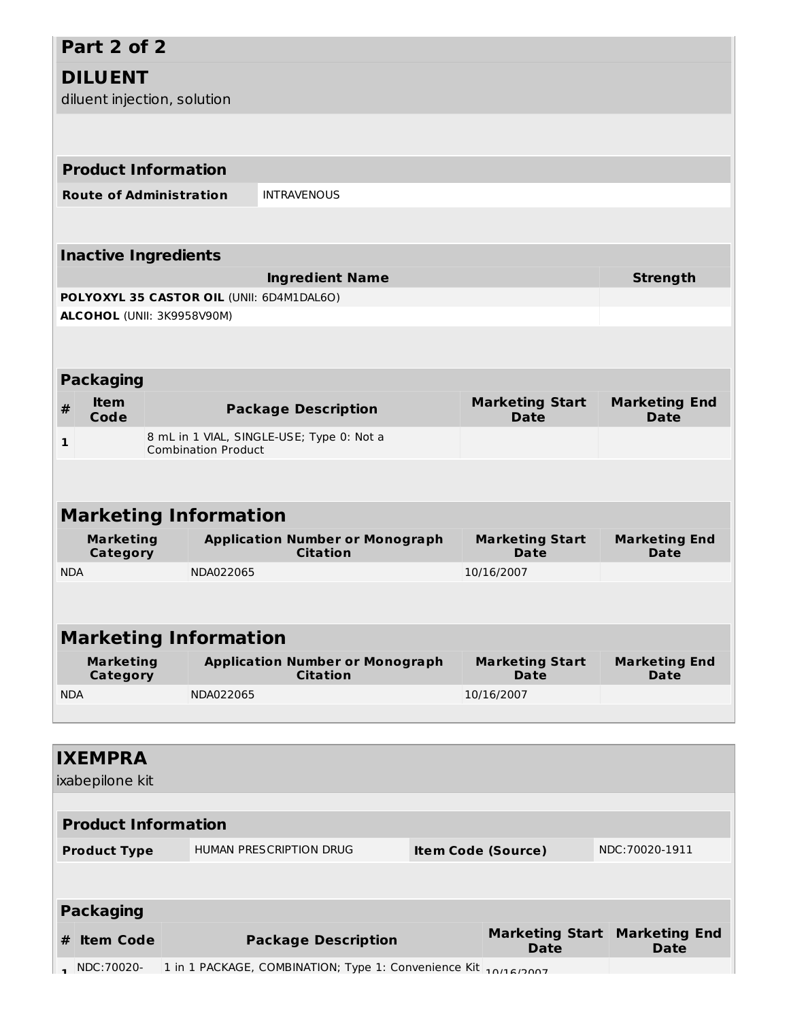# **Part 2 of 2**

# **DILUENT**

diluent injection, solution

|            | <b>Product Information</b>          |                                           |                                                                 |                                       |                                     |
|------------|-------------------------------------|-------------------------------------------|-----------------------------------------------------------------|---------------------------------------|-------------------------------------|
|            | <b>Route of Administration</b>      |                                           | <b>INTRAVENOUS</b>                                              |                                       |                                     |
|            |                                     |                                           |                                                                 |                                       |                                     |
|            | <b>Inactive Ingredients</b>         |                                           |                                                                 |                                       |                                     |
|            |                                     |                                           | <b>Ingredient Name</b>                                          |                                       | <b>Strength</b>                     |
|            |                                     | POLYOXYL 35 CASTOR OIL (UNII: 6D4M1DAL6O) |                                                                 |                                       |                                     |
|            |                                     | ALCOHOL (UNII: 3K9958V90M)                |                                                                 |                                       |                                     |
|            |                                     |                                           |                                                                 |                                       |                                     |
|            | <b>Packaging</b>                    |                                           |                                                                 |                                       |                                     |
| #          | <b>Item</b><br>Code                 |                                           | <b>Package Description</b>                                      | <b>Marketing Start</b><br><b>Date</b> | <b>Marketing End</b><br><b>Date</b> |
| 1          |                                     | <b>Combination Product</b>                | 8 mL in 1 VIAL, SINGLE-USE; Type 0: Not a                       |                                       |                                     |
|            |                                     |                                           |                                                                 |                                       |                                     |
|            |                                     | <b>Marketing Information</b>              |                                                                 |                                       |                                     |
|            | <b>Marketing</b><br><b>Category</b> |                                           | <b>Application Number or Monograph</b><br><b>Citation</b>       | <b>Marketing Start</b><br><b>Date</b> | <b>Marketing End</b><br>Date        |
| <b>NDA</b> |                                     | NDA022065                                 |                                                                 | 10/16/2007                            |                                     |
|            |                                     |                                           |                                                                 |                                       |                                     |
|            |                                     | <b>Marketing Information</b>              |                                                                 |                                       |                                     |
|            | <b>Marketing</b><br>Category        |                                           | <b>Application Number or Monograph</b><br><b>Citation</b>       | <b>Marketing Start</b><br>Date        | <b>Marketing End</b><br>Date        |
| <b>NDA</b> |                                     | NDA022065                                 |                                                                 | 10/16/2007                            |                                     |
|            |                                     |                                           |                                                                 |                                       |                                     |
|            | <b>IXEMPRA</b>                      |                                           |                                                                 |                                       |                                     |
|            | ixabepilone kit                     |                                           |                                                                 |                                       |                                     |
|            |                                     |                                           |                                                                 |                                       |                                     |
|            | <b>Product Information</b>          |                                           |                                                                 |                                       |                                     |
|            | <b>Product Type</b>                 |                                           | HUMAN PRESCRIPTION DRUG                                         | <b>Item Code (Source)</b>             | NDC:70020-1911                      |
|            |                                     |                                           |                                                                 |                                       |                                     |
|            | <b>Packaging</b>                    |                                           |                                                                 |                                       |                                     |
| #          | <b>Item Code</b>                    |                                           | <b>Package Description</b>                                      | <b>Marketing Start</b><br><b>Date</b> | <b>Marketing End</b><br><b>Date</b> |
|            | NDC:70020-                          |                                           | 1 in 1 PACKAGE, COMBINATION; Type 1: Convenience Kit 10/16/2007 |                                       |                                     |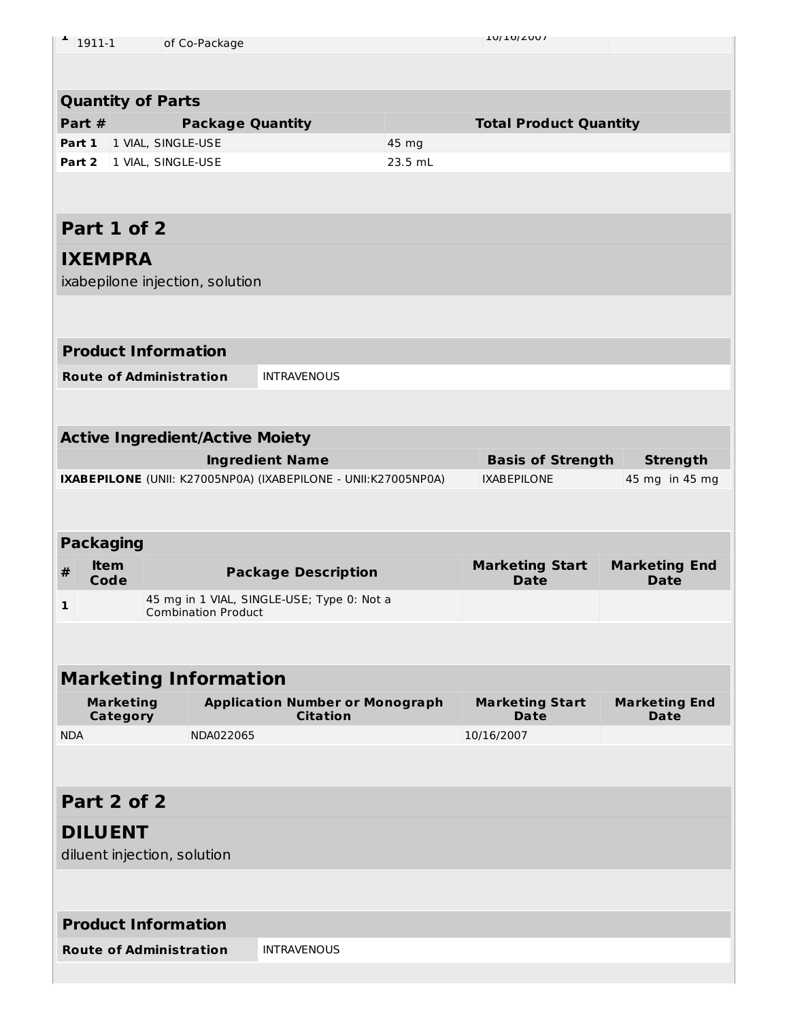| ÷.<br>1911-1     |                  | of Co-Package                          |                                                                |         | TON TOI COOL                          |                                     |
|------------------|------------------|----------------------------------------|----------------------------------------------------------------|---------|---------------------------------------|-------------------------------------|
|                  |                  |                                        |                                                                |         |                                       |                                     |
|                  |                  |                                        |                                                                |         |                                       |                                     |
|                  |                  | <b>Quantity of Parts</b>               |                                                                |         |                                       |                                     |
|                  |                  |                                        |                                                                |         |                                       |                                     |
| Part #           |                  | <b>Package Quantity</b>                |                                                                |         | <b>Total Product Quantity</b>         |                                     |
| Part 1           |                  | 1 VIAL, SINGLE-USE                     |                                                                | 45 mg   |                                       |                                     |
| Part 2           |                  | 1 VIAL, SINGLE-USE                     |                                                                | 23.5 mL |                                       |                                     |
|                  |                  |                                        |                                                                |         |                                       |                                     |
|                  |                  |                                        |                                                                |         |                                       |                                     |
| Part 1 of 2      |                  |                                        |                                                                |         |                                       |                                     |
|                  |                  |                                        |                                                                |         |                                       |                                     |
| <b>IXEMPRA</b>   |                  |                                        |                                                                |         |                                       |                                     |
|                  |                  | ixabepilone injection, solution        |                                                                |         |                                       |                                     |
|                  |                  |                                        |                                                                |         |                                       |                                     |
|                  |                  |                                        |                                                                |         |                                       |                                     |
|                  |                  |                                        |                                                                |         |                                       |                                     |
|                  |                  | <b>Product Information</b>             |                                                                |         |                                       |                                     |
|                  |                  | <b>Route of Administration</b>         | <b>INTRAVENOUS</b>                                             |         |                                       |                                     |
|                  |                  |                                        |                                                                |         |                                       |                                     |
|                  |                  |                                        |                                                                |         |                                       |                                     |
|                  |                  |                                        |                                                                |         |                                       |                                     |
|                  |                  | <b>Active Ingredient/Active Moiety</b> |                                                                |         |                                       |                                     |
|                  |                  |                                        | <b>Ingredient Name</b>                                         |         | <b>Basis of Strength</b>              | <b>Strength</b>                     |
|                  |                  |                                        | IXABEPILONE (UNII: K27005NP0A) (IXABEPILONE - UNII:K27005NP0A) |         | <b>IXABEPILONE</b>                    | 45 mg in 45 mg                      |
|                  |                  |                                        |                                                                |         |                                       |                                     |
|                  |                  |                                        |                                                                |         |                                       |                                     |
|                  |                  |                                        |                                                                |         |                                       |                                     |
|                  |                  |                                        |                                                                |         |                                       |                                     |
| <b>Packaging</b> |                  |                                        |                                                                |         |                                       |                                     |
| $\pmb{\#}$       | <b>Item</b>      |                                        | <b>Package Description</b>                                     |         | <b>Marketing Start</b><br><b>Date</b> | <b>Marketing End</b><br><b>Date</b> |
|                  | Code             |                                        |                                                                |         |                                       |                                     |
| 1                |                  | <b>Combination Product</b>             | 45 mg in 1 VIAL, SINGLE-USE; Type 0: Not a                     |         |                                       |                                     |
|                  |                  |                                        |                                                                |         |                                       |                                     |
|                  |                  |                                        |                                                                |         |                                       |                                     |
|                  |                  |                                        |                                                                |         |                                       |                                     |
|                  |                  | <b>Marketing Information</b>           |                                                                |         |                                       |                                     |
|                  | <b>Marketing</b> |                                        | <b>Application Number or Monograph</b>                         |         | <b>Marketing Start</b>                | <b>Marketing End</b>                |
|                  | Category         |                                        | <b>Citation</b>                                                |         | <b>Date</b>                           | <b>Date</b>                         |
| <b>NDA</b>       |                  | NDA022065                              |                                                                |         | 10/16/2007                            |                                     |
|                  |                  |                                        |                                                                |         |                                       |                                     |
|                  |                  |                                        |                                                                |         |                                       |                                     |
| Part 2 of 2      |                  |                                        |                                                                |         |                                       |                                     |
|                  |                  |                                        |                                                                |         |                                       |                                     |
| <b>DILUENT</b>   |                  |                                        |                                                                |         |                                       |                                     |
|                  |                  | diluent injection, solution            |                                                                |         |                                       |                                     |
|                  |                  |                                        |                                                                |         |                                       |                                     |
|                  |                  |                                        |                                                                |         |                                       |                                     |
|                  |                  |                                        |                                                                |         |                                       |                                     |
|                  |                  | <b>Product Information</b>             |                                                                |         |                                       |                                     |
|                  |                  | <b>Route of Administration</b>         | <b>INTRAVENOUS</b>                                             |         |                                       |                                     |
|                  |                  |                                        |                                                                |         |                                       |                                     |